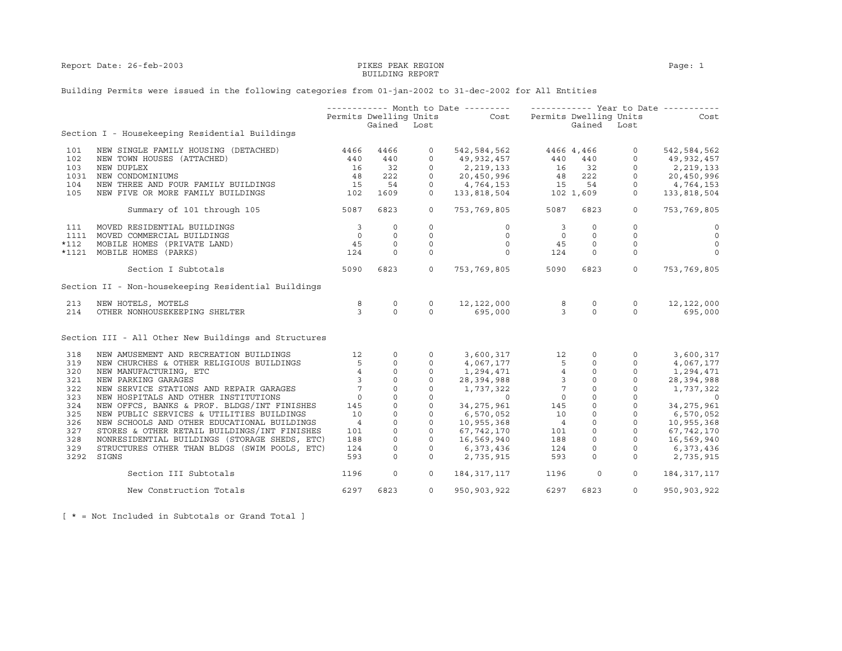## BUILDING REPORT

## Building Permits were issued in the following categories from 01-jan-2002 to 31-dec-2002 for All Entities

|        |                                                      |                         |                  |              | ------------ Month to Date --------- ------------- Year to Date -----------                                                                                                      |                                              |               |                                                                                                  |                                                                                                                                                                                                                                                                                                                                    |
|--------|------------------------------------------------------|-------------------------|------------------|--------------|----------------------------------------------------------------------------------------------------------------------------------------------------------------------------------|----------------------------------------------|---------------|--------------------------------------------------------------------------------------------------|------------------------------------------------------------------------------------------------------------------------------------------------------------------------------------------------------------------------------------------------------------------------------------------------------------------------------------|
|        |                                                      |                         |                  |              | Permits Dwelling Units Cost Permits Dwelling Units                                                                                                                               |                                              |               |                                                                                                  | Cost                                                                                                                                                                                                                                                                                                                               |
|        |                                                      |                         | Gained Lost      |              |                                                                                                                                                                                  |                                              | Gained Lost   |                                                                                                  |                                                                                                                                                                                                                                                                                                                                    |
|        | Section I - Housekeeping Residential Buildings       |                         |                  |              |                                                                                                                                                                                  |                                              |               |                                                                                                  |                                                                                                                                                                                                                                                                                                                                    |
| 101    | NEW SINGLE FAMILY HOUSING (DETACHED)                 | 4466                    | 4466             | $\circ$      | 542,584,562 4466 4,466                                                                                                                                                           |                                              |               | $\circ$                                                                                          | 542,584,562                                                                                                                                                                                                                                                                                                                        |
| 102    | NEW TOWN HOUSES (ATTACHED)                           | 440                     | 440              | $\circ$      |                                                                                                                                                                                  |                                              |               |                                                                                                  | 49,932,457                                                                                                                                                                                                                                                                                                                         |
| 103    | NEW DUPLEX                                           | 16                      | 32               | $\circ$      |                                                                                                                                                                                  |                                              |               |                                                                                                  | 2,219,133                                                                                                                                                                                                                                                                                                                          |
| 1031   | NEW CONDOMINIUMS                                     | 48                      | 222              | $\circ$      |                                                                                                                                                                                  |                                              |               |                                                                                                  | 20,450,996                                                                                                                                                                                                                                                                                                                         |
| 104    | NEW THREE AND FOUR FAMILY BUILDINGS                  | 15                      | 54               | $\circ$      |                                                                                                                                                                                  |                                              |               |                                                                                                  | 4,764,153                                                                                                                                                                                                                                                                                                                          |
| 105    | NEW FIVE OR MORE FAMILY BUILDINGS                    | 102                     | 1609             | $\circ$      | $\begin{array}{cccc} 49,932,457 & 440 & 440 & 0 \\ 2,219,133 & 16 & 32 & 0 \\ 20,450,996 & 48 & 222 & 0 \\ 4,764,153 & 15 & 54 & 0 \\ 133,818,504 & 102 & 1,609 & 0 \end{array}$ |                                              |               |                                                                                                  | 133,818,504                                                                                                                                                                                                                                                                                                                        |
|        | Summary of 101 through 105                           | 5087                    | 6823             | $\circ$      | 753,769,805 5087                                                                                                                                                                 |                                              | 6823          | $\circ$                                                                                          | 753,769,805                                                                                                                                                                                                                                                                                                                        |
|        |                                                      |                         |                  |              |                                                                                                                                                                                  |                                              |               |                                                                                                  |                                                                                                                                                                                                                                                                                                                                    |
| 111    | MOVED RESIDENTIAL BUILDINGS                          | $\overline{\mathbf{3}}$ | $\circ$          | $\circ$      | $\circ$                                                                                                                                                                          | 3                                            | $\Omega$      | $\Omega$                                                                                         | $\circ$                                                                                                                                                                                                                                                                                                                            |
|        | 1111 MOVED COMMERCIAL BUILDINGS                      | $\overline{0}$          | $\circ$          | $\mathbf 0$  | $\circ$                                                                                                                                                                          | $\overline{0}$                               | $\circ$       | $\mathbf{0}$                                                                                     | $\overline{0}$                                                                                                                                                                                                                                                                                                                     |
| $*112$ | MOBILE HOMES (PRIVATE LAND)                          | 45                      | $\circ$          | 0            | $\circ$                                                                                                                                                                          | 45                                           | $\circ$       | $\circ$                                                                                          | $\circ$                                                                                                                                                                                                                                                                                                                            |
| *1121  | MOBILE HOMES (PARKS)                                 | 124                     | $\Omega$         | $\mathbf 0$  | $\Omega$                                                                                                                                                                         | 124                                          | $\Omega$      | $\mathbf 0$                                                                                      | $\mathbf{0}$                                                                                                                                                                                                                                                                                                                       |
|        | Section I Subtotals                                  | 5090                    | 6823             | $\circ$      | 753,769,805                                                                                                                                                                      | 5090                                         | 6823          | $\circ$                                                                                          | 753,769,805                                                                                                                                                                                                                                                                                                                        |
|        | Section II - Non-housekeeping Residential Buildings  |                         |                  |              |                                                                                                                                                                                  |                                              |               |                                                                                                  |                                                                                                                                                                                                                                                                                                                                    |
| 213    | NEW HOTELS, MOTELS                                   | 8                       | $\circ$          | $\mathbf{0}$ |                                                                                                                                                                                  | 8                                            | 0             | $\circ$                                                                                          | 12,122,000                                                                                                                                                                                                                                                                                                                         |
| 214    | OTHER NONHOUSEKEEPING SHELTER                        | 3                       | $\Omega$         | $\Omega$     | 12, 122, 000 8<br>695, 000 3<br>695,000                                                                                                                                          |                                              | $\Omega$      | $\Omega$                                                                                         | 695,000                                                                                                                                                                                                                                                                                                                            |
|        | Section III - All Other New Buildings and Structures |                         |                  |              |                                                                                                                                                                                  |                                              |               |                                                                                                  |                                                                                                                                                                                                                                                                                                                                    |
| 318    | NEW AMUSEMENT AND RECREATION BUILDINGS               | 12                      | $\circ$          | $\circ$      | 3,600,317                                                                                                                                                                        |                                              | 12<br>$\circ$ | $\circ$                                                                                          | 3,600,317                                                                                                                                                                                                                                                                                                                          |
| 319    | NEW CHURCHES & OTHER RELIGIOUS BUILDINGS             |                         | $5 -$<br>$\circ$ | $\circ$      | 4,067,177                                                                                                                                                                        | 5                                            | $\circ$       | $\circ$                                                                                          | 4,067,177                                                                                                                                                                                                                                                                                                                          |
| 320    | NEW MANUFACTURING, ETC                               | $\overline{4}$          | $\mathbb O$      | $\mathsf{O}$ | 1,294,471                                                                                                                                                                        | $\overline{4}$                               |               | $\mathbf 0$<br>$\begin{bmatrix} 0 \\ 0 \\ 0 \\ 0 \\ 0 \\ 0 \\ 0 \\ 0 \\ 0 \\ 0 \\ \end{bmatrix}$ | 1,294,471                                                                                                                                                                                                                                                                                                                          |
| 321    | NEW PARKING GARAGES                                  | $\overline{3}$          | $\circ$          | $\mathbf 0$  | 1, 294, 471 4<br>28, 394, 988 3                                                                                                                                                  |                                              |               | $\circ$                                                                                          | 28,394,988                                                                                                                                                                                                                                                                                                                         |
| 322    | NEW SERVICE STATIONS AND REPAIR GARAGES              | $7\overline{ }$         | $\circ$          | $\mathbf 0$  | 1,737,322                                                                                                                                                                        | $\begin{array}{c} 7 \\ 0 \\ 145 \end{array}$ |               | $\circ$                                                                                          | 1,737,322                                                                                                                                                                                                                                                                                                                          |
| 323    | NEW HOSPITALS AND OTHER INSTITUTIONS                 | $\overline{0}$          | $\mathbf 0$      | $\mathbf 0$  | $\sim$ 0                                                                                                                                                                         |                                              |               | $\circ$                                                                                          | $\overline{a}$ and $\overline{a}$ and $\overline{a}$ and $\overline{a}$ and $\overline{a}$ and $\overline{a}$ and $\overline{a}$ and $\overline{a}$ and $\overline{a}$ and $\overline{a}$ and $\overline{a}$ and $\overline{a}$ and $\overline{a}$ and $\overline{a}$ and $\overline{a}$ and $\overline{a}$ and $\overline{a}$ and |
| 324    | NEW OFFCS, BANKS & PROF. BLDGS/INT FINISHES          | 145                     | $\Omega$         | $\Omega$     | 34, 275, 961                                                                                                                                                                     |                                              |               | $\Omega$                                                                                         | 34, 275, 961                                                                                                                                                                                                                                                                                                                       |
| 325    | NEW PUBLIC SERVICES & UTILITIES BUILDINGS            | 10                      | $\circ$          | 0            | 6,570,052                                                                                                                                                                        | 10                                           |               | $\circ$                                                                                          | 6,570,052                                                                                                                                                                                                                                                                                                                          |
| 326    | NEW SCHOOLS AND OTHER EDUCATIONAL BUILDINGS          | $\overline{4}$          | $\circ$          | $\mathbf{0}$ | 10,955,368                                                                                                                                                                       | $\overline{4}$                               |               | $\circ$                                                                                          | 10,955,368                                                                                                                                                                                                                                                                                                                         |
| 327    | STORES & OTHER RETAIL BUILDINGS/INT FINISHES         | 101                     | $\Omega$         | $\circ$      | 67,742,170                                                                                                                                                                       | 101                                          | $\circ$       | $\circ$                                                                                          | 67,742,170                                                                                                                                                                                                                                                                                                                         |
| 328    | NONRESIDENTIAL BUILDINGS (STORAGE SHEDS, ETC)        | 188                     | $\circ$          | $\mathbf 0$  | 16,569,940                                                                                                                                                                       | 188                                          | $\circ$       | $\mathbf 0$                                                                                      | 16,569,940                                                                                                                                                                                                                                                                                                                         |
| 329    | STRUCTURES OTHER THAN BLDGS (SWIM POOLS, ETC)        | 124                     | $\mathbf 0$      | $\circ$      | 6,373,436                                                                                                                                                                        | 124                                          | $\circ$       | $\circ$                                                                                          | 6,373,436                                                                                                                                                                                                                                                                                                                          |
| 3292   | SIGNS                                                | 593                     | $\Omega$         | $\Omega$     | 2,735,915                                                                                                                                                                        | 593                                          | $\Omega$      | $\Omega$                                                                                         | 2,735,915                                                                                                                                                                                                                                                                                                                          |
|        |                                                      |                         |                  |              |                                                                                                                                                                                  |                                              |               |                                                                                                  |                                                                                                                                                                                                                                                                                                                                    |
|        | Section III Subtotals                                | 1196                    | $\mathbf{0}$     | $\circ$      | 184, 317, 117                                                                                                                                                                    | 1196                                         | $\circ$       | $\circ$                                                                                          | 184,317,117                                                                                                                                                                                                                                                                                                                        |
|        | New Construction Totals                              | 6297                    | 6823             | $\circ$      | 950, 903, 922                                                                                                                                                                    | 6297                                         | 6823          | $\circ$                                                                                          | 950,903,922                                                                                                                                                                                                                                                                                                                        |

[ \* = Not Included in Subtotals or Grand Total ]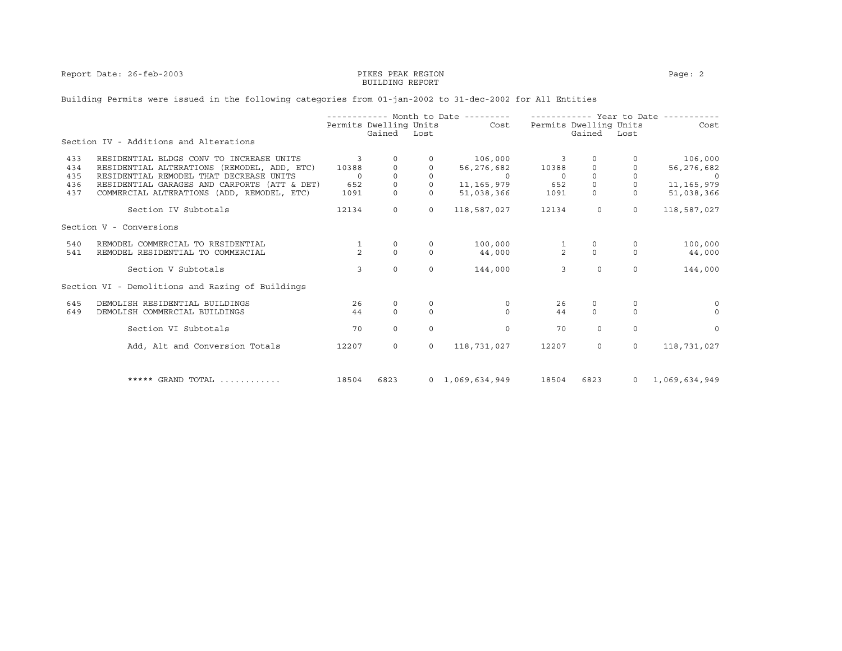Report Date: 26-feb-2003 PIKES PEAK REGION PAGE: 2

## BUILDING REPORT

## Building Permits were issued in the following categories from 01-jan-2002 to 31-dec-2002 for All Entities

|     |                                                  |                |                        |          | ----------- Month to Date --------- |                |                        | ----------- Year to Date ------ |               |
|-----|--------------------------------------------------|----------------|------------------------|----------|-------------------------------------|----------------|------------------------|---------------------------------|---------------|
|     |                                                  |                | Permits Dwelling Units |          | Cost                                |                | Permits Dwelling Units |                                 | Cost          |
|     | Section IV - Additions and Alterations           |                | Gained Lost            |          |                                     |                | Gained                 | Lost                            |               |
| 433 | RESIDENTIAL BLDGS CONV TO INCREASE UNITS         | 3              | 0                      |          | 106,000                             | 3              | $\Omega$               |                                 | 106,000       |
| 434 | RESIDENTIAL ALTERATIONS (REMODEL, ADD, ETC)      | 10388          |                        |          | 56,276,682                          | 10388          | 0                      |                                 | 56,276,682    |
| 435 | RESIDENTIAL REMODEL THAT DECREASE UNITS          | $\Omega$       | $\mathbf{0}$           | $\Omega$ | $\overline{0}$                      | $\Omega$       | $\Omega$               | $\Omega$                        |               |
| 436 | RESIDENTIAL GARAGES AND CARPORTS (ATT & DET)     | 652            | $\Omega$               |          | 11,165,979                          | 652            | $\Omega$               | $\Omega$                        | 11, 165, 979  |
| 437 | COMMERCIAL ALTERATIONS (ADD, REMODEL, ETC)       | 1091           | $\Omega$               |          | 51,038,366                          | 1091           | $\mathsf{O}$           | $\circ$                         | 51,038,366    |
|     | Section IV Subtotals                             | 12134          | $\circ$                | $\circ$  | 118,587,027                         | 12134          | $\circ$                | $\circ$                         | 118,587,027   |
|     | Section V - Conversions                          |                |                        |          |                                     |                |                        |                                 |               |
| 540 | REMODEL COMMERCIAL TO RESIDENTIAL                |                | 0                      | 0        | 100,000                             |                | 0                      | 0                               | 100,000       |
| 541 | REMODEL RESIDENTIAL TO COMMERCIAL                | $\overline{2}$ | $\Omega$               | $\Omega$ | 44,000                              | $\frac{1}{2}$  | $\Omega$               | $\Omega$                        | 44,000        |
|     | Section V Subtotals                              | 3              | $\mathbf{0}$           | $\Omega$ | 144,000                             | $\overline{3}$ | $\Omega$               | $\Omega$                        | 144,000       |
|     | Section VI - Demolitions and Razing of Buildings |                |                        |          |                                     |                |                        |                                 |               |
| 645 | DEMOLISH RESIDENTIAL BUILDINGS                   | 26             | $\mathbf 0$            |          | 0                                   | 26             | 0                      | $\circ$                         | $\Omega$      |
| 649 | DEMOLISH COMMERCIAL BUILDINGS                    | 44             | $\Omega$               | $\Omega$ | $\Omega$                            | 44             | $\Omega$               | $\Omega$                        | $\Omega$      |
|     | Section VI Subtotals                             | 70             | $\mathbf{0}$           | $\Omega$ | $\Omega$                            | 70             | $\Omega$               | $\Omega$                        | $\Omega$      |
|     | Add, Alt and Conversion Totals                   | 12207          | $\Omega$               | $\circ$  | 118,731,027                         | 12207          | $\circ$                | $\Omega$                        | 118,731,027   |
|     |                                                  |                |                        |          |                                     |                |                        |                                 |               |
|     | ***** GRAND TOTAL                                | 18504          | 6823                   |          | $0 \quad 1,069,634,949$             | 18504          | 6823                   | $\overline{0}$                  | 1,069,634,949 |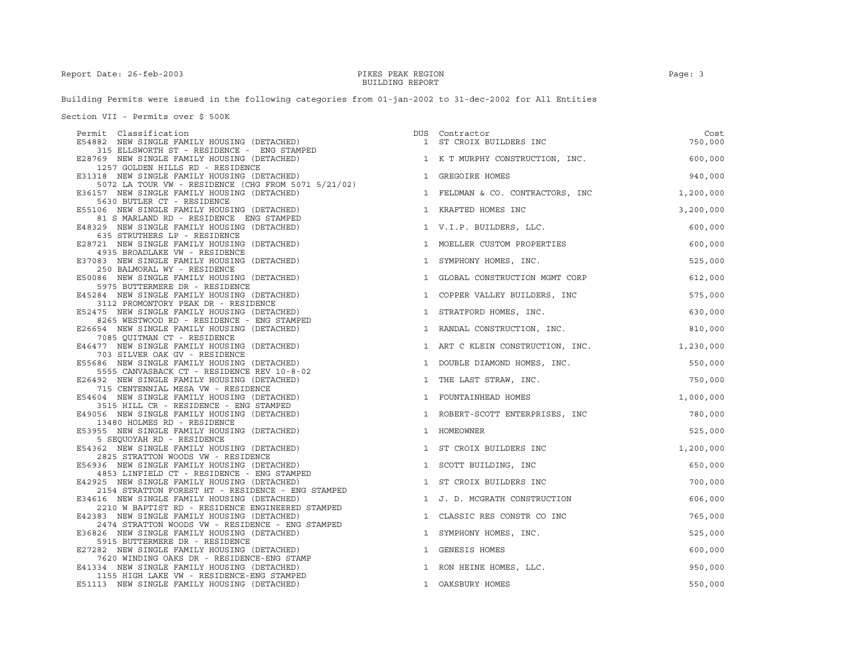Building Permits were issued in the following categories from 01-jan-2002 to 31-dec-2002 for All Entities

Section VII - Permits over \$ 500K

| Permit Classification                                                                     |   | DUS Contractor                             | Cost      |
|-------------------------------------------------------------------------------------------|---|--------------------------------------------|-----------|
| E54882 NEW SINGLE FAMILY HOUSING (DETACHED)                                               |   | 1 ST CROIX BUILDERS INC                    | 750,000   |
| 315 ELLSWORTH ST - RESIDENCE - ENG STAMPED                                                |   |                                            |           |
| E28769 NEW SINGLE FAMILY HOUSING (DETACHED)<br>1257 GOLDEN HILLS RD - RESIDENCE           |   | 1 K T MURPHY CONSTRUCTION, INC.            | 600,000   |
| E31318 NEW SINGLE FAMILY HOUSING (DETACHED)                                               |   | 1 GREGOIRE HOMES                           | 940,000   |
| 5072 LA TOUR VW - RESIDENCE (CHG FROM 5071 5/21/02)                                       |   |                                            |           |
| E36157 NEW SINGLE FAMILY HOUSING (DETACHED)                                               |   | 1 FELDMAN & CO. CONTRACTORS, INC           | 1,200,000 |
| 5630 BUTLER CT - RESIDENCE                                                                |   |                                            |           |
| E55106 NEW SINGLE FAMILY HOUSING (DETACHED)                                               |   | 1 KRAFTED HOMES INC                        | 3,200,000 |
| 81 S MARLAND RD - RESIDENCE ENG STAMPED                                                   |   |                                            |           |
| E48329 NEW SINGLE FAMILY HOUSING (DETACHED)<br>635 STRUTHERS LP - RESIDENCE               |   | 1 V.I.P. BUILDERS, LLC.                    | 600,000   |
| E28721 NEW SINGLE FAMILY HOUSING (DETACHED)                                               |   | 1 MOELLER CUSTOM PROPERTIES                | 600,000   |
| 4935 BROADLAKE VW - RESIDENCE                                                             |   |                                            |           |
| E37083 NEW SINGLE FAMILY HOUSING (DETACHED)                                               |   | 1 SYMPHONY HOMES, INC.                     | 525,000   |
| 250 BALMORAL WY - RESIDENCE                                                               |   |                                            |           |
| E50086 NEW SINGLE FAMILY HOUSING (DETACHED)                                               |   | 1 GLOBAL CONSTRUCTION MGMT CORP            | 612,000   |
| 5975 BUTTERMERE DR - RESIDENCE                                                            |   |                                            |           |
| E45284 NEW SINGLE FAMILY HOUSING (DETACHED)<br>3112 PROMONTORY PEAK DR - RESIDENCE        |   | 1 COPPER VALLEY BUILDERS, INC              | 575,000   |
| E52475 NEW SINGLE FAMILY HOUSING (DETACHED)                                               |   | 1 STRATFORD HOMES, INC.                    | 630,000   |
| 8265 WESTWOOD RD - RESIDENCE - ENG STAMPED                                                |   |                                            |           |
| E26654 NEW SINGLE FAMILY HOUSING (DETACHED)                                               |   | 1 RANDAL CONSTRUCTION, INC.                | 810,000   |
| 7085 QUITMAN CT - RESIDENCE                                                               |   |                                            |           |
| E46477 NEW SINGLE FAMILY HOUSING (DETACHED)                                               |   | 1 ART C KLEIN CONSTRUCTION, INC. 1,230,000 |           |
| 703 SILVER OAK GV - RESIDENCE<br>E55686 NEW SINGLE FAMILY HOUSING (DETACHED)              |   | 1 DOUBLE DIAMOND HOMES, INC.               | 550,000   |
| 5555 CANVASBACK CT - RESIDENCE REV 10-8-02                                                |   |                                            |           |
| E26492 NEW SINGLE FAMILY HOUSING (DETACHED)                                               |   | 1 THE LAST STRAW, INC.                     | 750,000   |
| 715 CENTENNIAL MESA VW - RESIDENCE                                                        |   |                                            |           |
| E54604 NEW SINGLE FAMILY HOUSING (DETACHED)                                               |   | 1 FOUNTAINHEAD HOMES                       | 1,000,000 |
| 3515 HILL CR - RESIDENCE - ENG STAMPED                                                    |   |                                            |           |
| E49056 NEW SINGLE FAMILY HOUSING (DETACHED)<br>13480 HOLMES RD - RESIDENCE                |   | 1 ROBERT-SCOTT ENTERPRISES, INC            | 780,000   |
| E53955 NEW SINGLE FAMILY HOUSING (DETACHED)                                               |   | 1 HOMEOWNER                                | 525,000   |
| 5 SEOUOYAH RD - RESIDENCE                                                                 |   |                                            |           |
| E54362 NEW SINGLE FAMILY HOUSING (DETACHED)                                               |   | 1 ST CROIX BUILDERS INC                    | 1,200,000 |
| 2825 STRATTON WOODS VW - RESIDENCE                                                        |   |                                            |           |
| E56936 NEW SINGLE FAMILY HOUSING (DETACHED)                                               |   | 1 SCOTT BUILDING, INC                      | 650,000   |
| 4853 LINFIELD CT - RESIDENCE - ENG STAMPED<br>E42925 NEW SINGLE FAMILY HOUSING (DETACHED) |   | 1 ST CROIX BUILDERS INC                    | 700,000   |
| 2154 STRATTON FOREST HT - RESIDENCE - ENG STAMPED                                         |   |                                            |           |
| E34616 NEW SINGLE FAMILY HOUSING (DETACHED)                                               |   | 1 J. D. MCGRATH CONSTRUCTION               | 606,000   |
| 2210 W BAPTIST RD - RESIDENCE ENGINEERED STAMPED                                          |   |                                            |           |
| E42383 NEW SINGLE FAMILY HOUSING (DETACHED)                                               | 1 | CLASSIC RES CONSTR CO INC                  | 765,000   |
| 2474 STRATTON WOODS VW - RESIDENCE - ENG STAMPED                                          |   |                                            |           |
| E36826 NEW SINGLE FAMILY HOUSING (DETACHED)<br>5915 BUTTERMERE DR - RESIDENCE             |   | 1 SYMPHONY HOMES, INC.                     | 525,000   |
| E27282 NEW SINGLE FAMILY HOUSING (DETACHED)                                               |   | 1 GENESIS HOMES                            | 600,000   |
| 7620 WINDING OAKS DR - RESIDENCE-ENG STAMP                                                |   |                                            |           |
| E41334 NEW SINGLE FAMILY HOUSING (DETACHED)                                               |   | 1 RON HEINE HOMES, LLC.                    | 950,000   |
| 1155 HIGH LAKE VW - RESIDENCE-ENG STAMPED                                                 |   |                                            |           |
| E51113 NEW SINGLE FAMILY HOUSING (DETACHED)                                               |   | 1 OAKSBURY HOMES                           | 550,000   |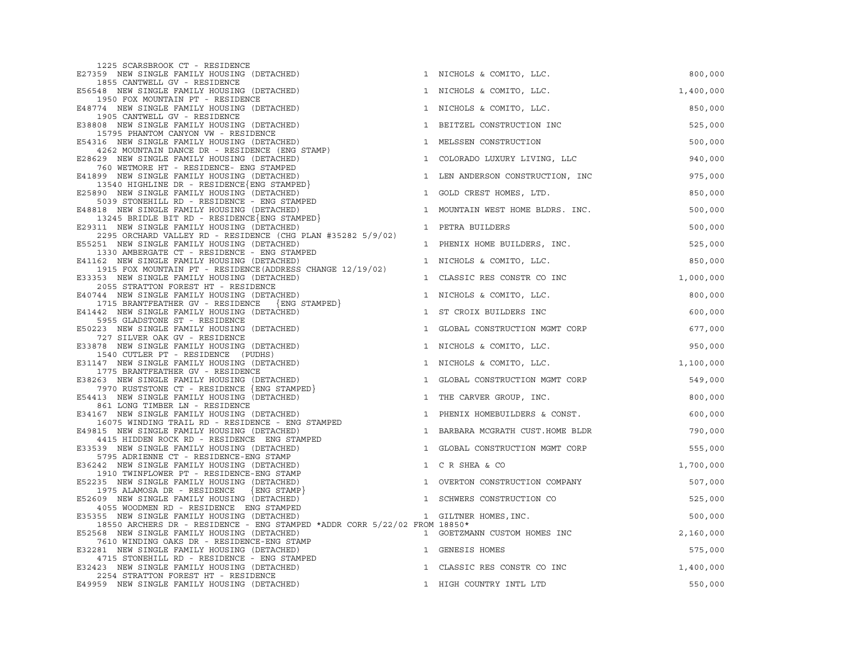| 1225 SCARSBROOK CT - RESIDENCE<br>E27359 NEW SINGLE FAMILY HOUSING (DETACHED)                              |              | 1 NICHOLS & COMITO, LLC.         | 800,000   |
|------------------------------------------------------------------------------------------------------------|--------------|----------------------------------|-----------|
| 1855 CANTWELL GV - RESIDENCE<br>E56548 NEW SINGLE FAMILY HOUSING (DETACHED)                                |              | 1 NICHOLS & COMITO, LLC.         | 1,400,000 |
| 1950 FOX MOUNTAIN PT - RESIDENCE<br>E48774 NEW SINGLE FAMILY HOUSING (DETACHED)                            |              | 1 NICHOLS & COMITO, LLC.         | 850,000   |
| 1905 CANTWELL GV - RESIDENCE<br>E38808 NEW SINGLE FAMILY HOUSING (DETACHED)                                |              | 1 BEITZEL CONSTRUCTION INC       | 525,000   |
| 15795 PHANTOM CANYON VW - RESIDENCE<br>E54316 NEW SINGLE FAMILY HOUSING (DETACHED)                         |              | 1 MELSSEN CONSTRUCTION           | 500,000   |
| 4262 MOUNTAIN DANCE DR - RESIDENCE (ENG STAMP)<br>E28629 NEW SINGLE FAMILY HOUSING (DETACHED)              |              | 1 COLORADO LUXURY LIVING, LLC    | 940,000   |
| 760 WETMORE HT - RESIDENCE- ENG STAMPED<br>E41899 NEW SINGLE FAMILY HOUSING (DETACHED)                     |              | 1 LEN ANDERSON CONSTRUCTION, INC | 975,000   |
| 13540 HIGHLINE DR - RESIDENCE {ENG STAMPED}<br>E25890 NEW SINGLE FAMILY HOUSING (DETACHED)                 | $\mathbf{1}$ | GOLD CREST HOMES, LTD.           | 850,000   |
| 5039 STONEHILL RD - RESIDENCE - ENG STAMPED<br>E48818 NEW SINGLE FAMILY HOUSING (DETACHED)                 | $\mathbf{1}$ | MOUNTAIN WEST HOME BLDRS. INC.   | 500,000   |
| 13245 BRIDLE BIT RD - RESIDENCE ENG STAMPED<br>E29311 NEW SINGLE FAMILY HOUSING (DETACHED)                 |              | 1 PETRA BUILDERS                 | 500,000   |
| 2295 ORCHARD VALLEY RD - RESIDENCE (CHG PLAN #35282 5/9/02)<br>E55251 NEW SINGLE FAMILY HOUSING (DETACHED) |              | 1 PHENIX HOME BUILDERS, INC.     | 525,000   |
| 1330 AMBERGATE CT - RESIDENCE - ENG STAMPED<br>E41162 NEW SINGLE FAMILY HOUSING (DETACHED)                 |              | 1 NICHOLS & COMITO, LLC.         | 850,000   |
| 1915 FOX MOUNTAIN PT - RESIDENCE (ADDRESS CHANGE 12/19/02)<br>E33353 NEW SINGLE FAMILY HOUSING (DETACHED)  | $\mathbf{1}$ | CLASSIC RES CONSTR CO INC        | 1,000,000 |
| 2055 STRATTON FOREST HT - RESIDENCE<br>E40744 NEW SINGLE FAMILY HOUSING (DETACHED)                         |              | 1 NICHOLS & COMITO, LLC.         | 800,000   |
| 1715 BRANTFEATHER GV - RESIDENCE {ENG STAMPED}<br>E41442 NEW SINGLE FAMILY HOUSING (DETACHED)              |              | 1 ST CROIX BUILDERS INC          | 600,000   |
| 5955 GLADSTONE ST - RESIDENCE                                                                              |              |                                  |           |
| E50223 NEW SINGLE FAMILY HOUSING (DETACHED)<br>727 SILVER OAK GV - RESIDENCE                               |              | 1 GLOBAL CONSTRUCTION MGMT CORP  | 677,000   |
| E33878 NEW SINGLE FAMILY HOUSING (DETACHED)<br>1540 CUTLER PT - RESIDENCE (PUDHS)                          |              | 1 NICHOLS & COMITO, LLC.         | 950,000   |
| E31147 NEW SINGLE FAMILY HOUSING (DETACHED)<br>1775 BRANTFEATHER GV - RESIDENCE                            |              | 1 NICHOLS & COMITO, LLC.         | 1,100,000 |
| E38263 NEW SINGLE FAMILY HOUSING (DETACHED)<br>7970 RUSTSTONE CT - RESIDENCE {ENG STAMPED}                 |              | 1 GLOBAL CONSTRUCTION MGMT CORP  | 549,000   |
| E54413 NEW SINGLE FAMILY HOUSING (DETACHED)<br>861 LONG TIMBER LN - RESIDENCE                              |              | 1 THE CARVER GROUP, INC.         | 800,000   |
| E34167 NEW SINGLE FAMILY HOUSING (DETACHED)<br>16075 WINDING TRAIL RD - RESIDENCE - ENG STAMPED            |              | 1 PHENIX HOMEBUILDERS & CONST.   | 600,000   |
| E49815 NEW SINGLE FAMILY HOUSING (DETACHED)<br>4415 HIDDEN ROCK RD - RESIDENCE ENG STAMPED                 |              | 1 BARBARA MCGRATH CUST.HOME BLDR | 790,000   |
| E33539 NEW SINGLE FAMILY HOUSING (DETACHED)<br>5795 ADRIENNE CT - RESIDENCE-ENG STAMP                      | $\mathbf{1}$ | GLOBAL CONSTRUCTION MGMT CORP    | 555,000   |
| E36242 NEW SINGLE FAMILY HOUSING (DETACHED)                                                                |              | 1 C R SHEA & CO                  | 1,700,000 |
| 1910 TWINFLOWER PT - RESIDENCE-ENG STAMP<br>E52235 NEW SINGLE FAMILY HOUSING (DETACHED)                    |              | 1 OVERTON CONSTRUCTION COMPANY   | 507,000   |
| 1975 ALAMOSA DR - RESIDENCE<br>$\{$ ENG  STAMP $\}$<br>E52609 NEW SINGLE FAMILY HOUSING (DETACHED)         | $\mathbf{1}$ | SCHWERS CONSTRUCTION CO          | 525,000   |
| 4055 WOODMEN RD - RESIDENCE ENG STAMPED<br>E35355 NEW SINGLE FAMILY HOUSING (DETACHED)                     |              | 1 GILTNER HOMES, INC.            | 500,000   |
| 18550 ARCHERS DR - RESIDENCE - ENG STAMPED *ADDR CORR 5/22/02 FROM 18850*                                  |              |                                  |           |
| E52568 NEW SINGLE FAMILY HOUSING (DETACHED)                                                                |              | 1 GOETZMANN CUSTOM HOMES INC     | 2,160,000 |
| 7610 WINDING OAKS DR - RESIDENCE-ENG STAMP<br>E32281 NEW SINGLE FAMILY HOUSING (DETACHED)                  |              | 1 GENESIS HOMES                  | 575,000   |
| 4715 STONEHILL RD - RESIDENCE - ENG STAMPED                                                                |              |                                  |           |
| E32423 NEW SINGLE FAMILY HOUSING (DETACHED)<br>2254 STRATTON FOREST HT - RESIDENCE                         |              | 1 CLASSIC RES CONSTR CO INC      | 1,400,000 |
| E49959 NEW SINGLE FAMILY HOUSING (DETACHED)                                                                |              | 1 HIGH COUNTRY INTL LTD          | 550,000   |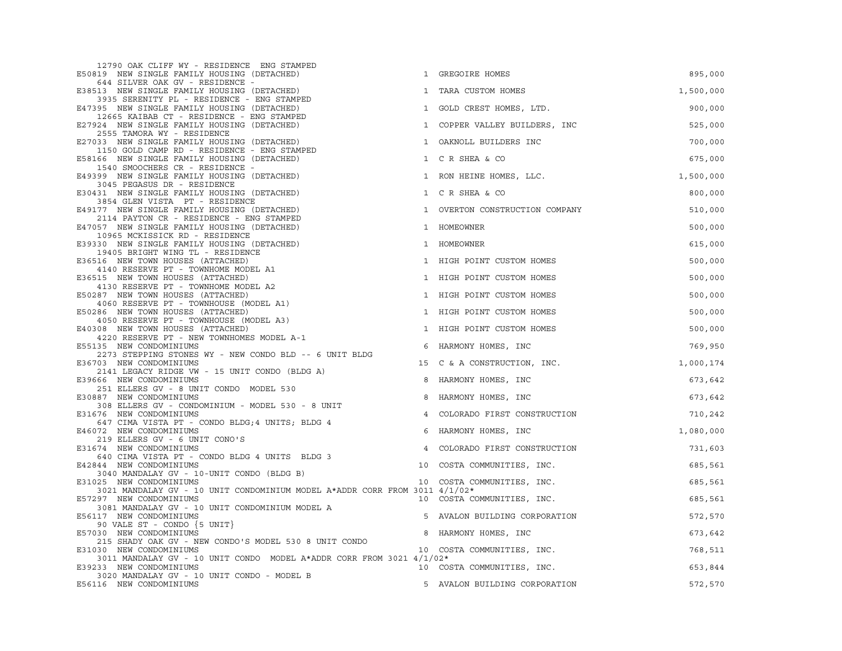| 12790 OAK CLIFF WY - RESIDENCE ENG STAMPED                                                            |                |                                |           |
|-------------------------------------------------------------------------------------------------------|----------------|--------------------------------|-----------|
| E50819 NEW SINGLE FAMILY HOUSING (DETACHED)                                                           |                | 1 GREGOIRE HOMES               | 895,000   |
| 644 SILVER OAK GV - RESIDENCE -<br>E38513 NEW SINGLE FAMILY HOUSING (DETACHED)                        | $\mathbf{1}$   | TARA CUSTOM HOMES              | 1,500,000 |
| 3935 SERENITY PL - RESIDENCE - ENG STAMPED<br>E47395 NEW SINGLE FAMILY HOUSING (DETACHED)             | $\mathbf{1}$   | GOLD CREST HOMES, LTD.         | 900,000   |
| 12665 KAIBAB CT - RESIDENCE - ENG STAMPED<br>E27924 NEW SINGLE FAMILY HOUSING (DETACHED)              | $\mathbf{1}$   | COPPER VALLEY BUILDERS, INC    | 525,000   |
| 2555 TAMORA WY - RESIDENCE<br>E27033 NEW SINGLE FAMILY HOUSING (DETACHED)                             | 1              | OAKNOLL BUILDERS INC           | 700,000   |
| 1150 GOLD CAMP RD - RESIDENCE - ENG STAMPED<br>E58166 NEW SINGLE FAMILY HOUSING (DETACHED)            |                | 1 C R SHEA & CO                | 675,000   |
| 1540 SMOOCHERS CR - RESIDENCE -<br>E49399 NEW SINGLE FAMILY HOUSING (DETACHED)                        |                | 1 RON HEINE HOMES, LLC.        | 1,500,000 |
| 3045 PEGASUS DR - RESIDENCE<br>E30431 NEW SINGLE FAMILY HOUSING (DETACHED)                            | $\mathbf{1}$   | C R SHEA & CO                  | 800,000   |
| 3854 GLEN VISTA PT - RESIDENCE<br>E49177 NEW SINGLE FAMILY HOUSING (DETACHED)                         |                |                                | 510,000   |
| 2114 PAYTON CR - RESIDENCE - ENG STAMPED                                                              |                | 1 OVERTON CONSTRUCTION COMPANY |           |
| E47057 NEW SINGLE FAMILY HOUSING (DETACHED)<br>10965 MCKISSICK RD - RESIDENCE                         |                | 1 HOMEOWNER                    | 500,000   |
| E39330 NEW SINGLE FAMILY HOUSING (DETACHED)<br>19405 BRIGHT WING TL - RESIDENCE                       |                | 1 HOMEOWNER                    | 615,000   |
| E36516 NEW TOWN HOUSES (ATTACHED)                                                                     |                | 1 HIGH POINT CUSTOM HOMES      | 500,000   |
| 4140 RESERVE PT - TOWNHOME MODEL A1<br>E36515 NEW TOWN HOUSES (ATTACHED)                              |                | 1 HIGH POINT CUSTOM HOMES      | 500,000   |
| 4130 RESERVE PT - TOWNHOME MODEL A2<br>E50287 NEW TOWN HOUSES (ATTACHED)                              |                | 1 HIGH POINT CUSTOM HOMES      | 500,000   |
| 4060 RESERVE PT - TOWNHOUSE (MODEL A1)<br>E50286 NEW TOWN HOUSES (ATTACHED)                           |                | 1 HIGH POINT CUSTOM HOMES      | 500,000   |
| 4050 RESERVE PT - TOWNHOUSE (MODEL A3)<br>E40308 NEW TOWN HOUSES (ATTACHED)                           |                | 1 HIGH POINT CUSTOM HOMES      | 500,000   |
| 4220 RESERVE PT - NEW TOWNHOMES MODEL A-1<br>E55135 NEW CONDOMINIUMS                                  | 6              | HARMONY HOMES, INC             | 769,950   |
| 2273 STEPPING STONES WY - NEW CONDO BLD -- 6 UNIT BLDG                                                |                |                                |           |
| E36703 NEW CONDOMINIUMS<br>2141 LEGACY RIDGE VW - 15 UNIT CONDO (BLDG A)                              | 15             | C & A CONSTRUCTION, INC.       | 1,000,174 |
| E39666 NEW CONDOMINIUMS<br>251 ELLERS GV - 8 UNIT CONDO MODEL 530                                     | 8              | HARMONY HOMES, INC             | 673,642   |
| E30887 NEW CONDOMINIUMS<br>308 ELLERS GV - CONDOMINIUM - MODEL 530 - 8 UNIT                           | 8              | HARMONY HOMES, INC             | 673,642   |
| E31676 NEW CONDOMINIUMS<br>647 CIMA VISTA PT - CONDO BLDG;4 UNITS; BLDG 4                             | $\overline{4}$ | COLORADO FIRST CONSTRUCTION    | 710,242   |
| E46072 NEW CONDOMINIUMS                                                                               | 6              | HARMONY HOMES, INC             | 1,080,000 |
| 219 ELLERS GV - 6 UNIT CONO'S<br>E31674 NEW CONDOMINIUMS                                              | $\overline{4}$ | COLORADO FIRST CONSTRUCTION    | 731,603   |
| 640 CIMA VISTA PT - CONDO BLDG 4 UNITS BLDG 3<br>E42844 NEW CONDOMINIUMS                              | 10             | COSTA COMMUNITIES, INC.        | 685,561   |
| 3040 MANDALAY GV - 10-UNIT CONDO (BLDG B)<br>E31025 NEW CONDOMINIUMS                                  |                | 10 COSTA COMMUNITIES, INC.     | 685,561   |
| 3021 MANDALAY GV - 10 UNIT CONDOMINIUM MODEL A*ADDR CORR FROM 3011 4/1/02*<br>E57297 NEW CONDOMINIUMS |                | 10 COSTA COMMUNITIES, INC.     | 685,561   |
| 3081 MANDALAY GV - 10 UNIT CONDOMINIUM MODEL A                                                        |                |                                |           |
| E56117 NEW CONDOMINIUMS<br>90 VALE ST - CONDO $\{5 \text{ UNIT}\}$                                    | -5             | AVALON BUILDING CORPORATION    | 572,570   |
| E57030 NEW CONDOMINIUMS                                                                               | 8              | HARMONY HOMES, INC             | 673,642   |
| 215 SHADY OAK GV - NEW CONDO'S MODEL 530 8 UNIT CONDO<br>E31030 NEW CONDOMINIUMS                      |                | 10 COSTA COMMUNITIES, INC.     | 768,511   |
| 3011 MANDALAY GV - 10 UNIT CONDO MODEL A*ADDR CORR FROM 3021 4/1/02*                                  |                |                                |           |
| E39233 NEW CONDOMINIUMS                                                                               |                | 10 COSTA COMMUNITIES, INC.     | 653,844   |
| 3020 MANDALAY GV - 10 UNIT CONDO - MODEL B<br>E56116 NEW CONDOMINIUMS                                 |                | 5 AVALON BUILDING CORPORATION  | 572,570   |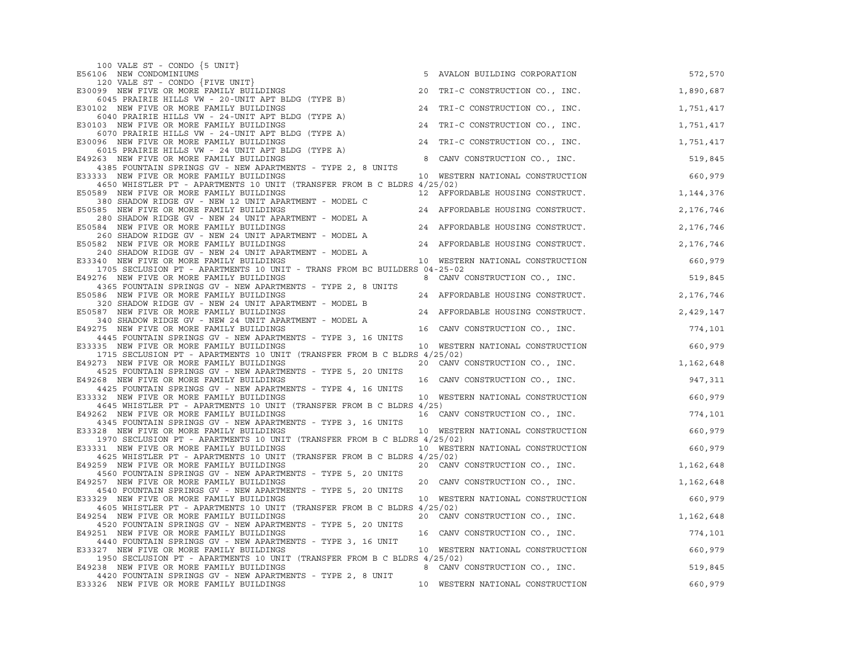| 100 VALE ST - CONDO $\{5 \text{ UNIT}\}$                                                                             |    |                                  |           |
|----------------------------------------------------------------------------------------------------------------------|----|----------------------------------|-----------|
| E56106 NEW CONDOMINIUMS                                                                                              |    | 5 AVALON BUILDING CORPORATION    | 572,570   |
| 120 VALE ST - CONDO {FIVE UNIT}<br>E30099 NEW FIVE OR MORE FAMILY BUILDINGS                                          | 20 | TRI-C CONSTRUCTION CO., INC.     | 1,890,687 |
| 6045 PRAIRIE HILLS VW - 20-UNIT APT BLDG (TYPE B)                                                                    |    |                                  |           |
| E30102 NEW FIVE OR MORE FAMILY BUILDINGS                                                                             |    | 24 TRI-C CONSTRUCTION CO., INC.  | 1,751,417 |
| 6040 PRAIRIE HILLS VW - 24-UNIT APT BLDG (TYPE A)<br>E30103 NEW FIVE OR MORE FAMILY BUILDINGS                        |    | 24 TRI-C CONSTRUCTION CO., INC.  | 1,751,417 |
| 6070 PRAIRIE HILLS VW - 24-UNIT APT BLDG (TYPE A)                                                                    |    |                                  |           |
| E30096 NEW FIVE OR MORE FAMILY BUILDINGS<br>6015 PRAIRIE HILLS VW - 24 UNIT APT BLDG (TYPE A)                        |    | 24 TRI-C CONSTRUCTION CO., INC.  | 1,751,417 |
| E49263 NEW FIVE OR MORE FAMILY BUILDINGS                                                                             | 8  | CANV CONSTRUCTION CO., INC.      | 519,845   |
| 4385 FOUNTAIN SPRINGS GV - NEW APARTMENTS - TYPE 2, 8 UNITS                                                          |    |                                  |           |
| E33333 NEW FIVE OR MORE FAMILY BUILDINGS<br>4650 WHISTLER PT - APARTMENTS 10 UNIT (TRANSFER FROM B C BLDRS 4/25/02)  |    | 10 WESTERN NATIONAL CONSTRUCTION | 660,979   |
| E50589 NEW FIVE OR MORE FAMILY BUILDINGS                                                                             |    | 12 AFFORDABLE HOUSING CONSTRUCT. | 1,144,376 |
| 380 SHADOW RIDGE GV - NEW 12 UNIT APARTMENT - MODEL C                                                                |    |                                  |           |
| E50585 NEW FIVE OR MORE FAMILY BUILDINGS<br>280 SHADOW RIDGE GV - NEW 24 UNIT APARTMENT - MODEL A                    |    | 24 AFFORDABLE HOUSING CONSTRUCT. | 2,176,746 |
| E50584 NEW FIVE OR MORE FAMILY BUILDINGS                                                                             |    | 24 AFFORDABLE HOUSING CONSTRUCT. | 2,176,746 |
| 260 SHADOW RIDGE GV - NEW 24 UNIT APARTMENT - MODEL A<br>E50582 NEW FIVE OR MORE FAMILY BUILDINGS                    |    | 24 AFFORDABLE HOUSING CONSTRUCT. |           |
| 240 SHADOW RIDGE GV - NEW 24 UNIT APARTMENT - MODEL A                                                                |    |                                  | 2,176,746 |
| E33340 NEW FIVE OR MORE FAMILY BUILDINGS                                                                             |    | 10 WESTERN NATIONAL CONSTRUCTION | 660,979   |
| 1705 SECLUSION PT - APARTMENTS 10 UNIT - TRANS FROM BC BUILDERS 04-25-02<br>E49276 NEW FIVE OR MORE FAMILY BUILDINGS |    | 8 CANV CONSTRUCTION CO., INC.    | 519,845   |
| 4365 FOUNTAIN SPRINGS GV - NEW APARTMENTS - TYPE 2, 8 UNITS                                                          |    |                                  |           |
| E50586 NEW FIVE OR MORE FAMILY BUILDINGS                                                                             |    | 24 AFFORDABLE HOUSING CONSTRUCT. | 2,176,746 |
| 320 SHADOW RIDGE GV - NEW 24 UNIT APARTMENT - MODEL B<br>E50587 NEW FIVE OR MORE FAMILY BUILDINGS                    |    | 24 AFFORDABLE HOUSING CONSTRUCT. | 2,429,147 |
| 340 SHADOW RIDGE GV - NEW 24 UNIT APARTMENT - MODEL A                                                                |    |                                  |           |
| E49275 NEW FIVE OR MORE FAMILY BUILDINGS<br>4445 FOUNTAIN SPRINGS GV - NEW APARTMENTS - TYPE 3, 16 UNITS             |    | 16 CANV CONSTRUCTION CO., INC.   | 774,101   |
| E33335 NEW FIVE OR MORE FAMILY BUILDINGS                                                                             |    | 10 WESTERN NATIONAL CONSTRUCTION | 660,979   |
| 1715 SECLUSION PT - APARTMENTS 10 UNIT (TRANSFER FROM B C BLDRS 4/25/02)                                             |    |                                  |           |
| E49273 NEW FIVE OR MORE FAMILY BUILDINGS<br>4525 FOUNTAIN SPRINGS GV - NEW APARTMENTS - TYPE 5, 20 UNITS             |    | 20 CANV CONSTRUCTION CO., INC.   | 1,162,648 |
| E49268 NEW FIVE OR MORE FAMILY BUILDINGS                                                                             |    | 16 CANV CONSTRUCTION CO., INC.   | 947,311   |
| 4425 FOUNTAIN SPRINGS GV - NEW APARTMENTS - TYPE 4, 16 UNITS<br>E33332 NEW FIVE OR MORE FAMILY BUILDINGS             |    | 10 WESTERN NATIONAL CONSTRUCTION | 660,979   |
| 4645 WHISTLER PT - APARTMENTS 10 UNIT (TRANSFER FROM B C BLDRS 4/25)                                                 |    |                                  |           |
| E49262 NEW FIVE OR MORE FAMILY BUILDINGS                                                                             |    | 16 CANV CONSTRUCTION CO., INC.   | 774,101   |
| 4345 FOUNTAIN SPRINGS GV - NEW APARTMENTS - TYPE 3, 16 UNITS<br>E33328 NEW FIVE OR MORE FAMILY BUILDINGS             |    | 10 WESTERN NATIONAL CONSTRUCTION | 660,979   |
| 1970 SECLUSION PT - APARTMENTS 10 UNIT (TRANSFER FROM B C BLDRS 4/25/02)                                             |    |                                  |           |
| E33331 NEW FIVE OR MORE FAMILY BUILDINGS<br>4625 WHISTLER PT - APARTMENTS 10 UNIT (TRANSFER FROM B C BLDRS 4/25/02)  |    | 10 WESTERN NATIONAL CONSTRUCTION | 660,979   |
| E49259 NEW FIVE OR MORE FAMILY BUILDINGS                                                                             |    | 20 CANV CONSTRUCTION CO., INC.   | 1,162,648 |
| 4560 FOUNTAIN SPRINGS GV - NEW APARTMENTS - TYPE 5, 20 UNITS                                                         |    |                                  |           |
| E49257 NEW FIVE OR MORE FAMILY BUILDINGS<br>4540 FOUNTAIN SPRINGS GV - NEW APARTMENTS - TYPE 5, 20 UNITS             |    | 20 CANV CONSTRUCTION CO., INC.   | 1,162,648 |
| E33329 NEW FIVE OR MORE FAMILY BUILDINGS                                                                             |    | 10 WESTERN NATIONAL CONSTRUCTION | 660,979   |
| 4605 WHISTLER PT - APARTMENTS 10 UNIT (TRANSFER FROM B C BLDRS 4/25/02)                                              |    |                                  |           |
| E49254 NEW FIVE OR MORE FAMILY BUILDINGS<br>4520 FOUNTAIN SPRINGS GV - NEW APARTMENTS - TYPE 5, 20 UNITS             |    | 20 CANV CONSTRUCTION CO., INC.   | 1,162,648 |
| E49251 NEW FIVE OR MORE FAMILY BUILDINGS                                                                             |    | 16 CANV CONSTRUCTION CO., INC.   | 774,101   |
| 4440 FOUNTAIN SPRINGS GV - NEW APARTMENTS - TYPE 3, 16 UNIT<br>E33327 NEW FIVE OR MORE FAMILY BUILDINGS              |    | 10 WESTERN NATIONAL CONSTRUCTION | 660,979   |
| 1950 SECLUSION PT - APARTMENTS 10 UNIT (TRANSFER FROM B C BLDRS 4/25/02)                                             |    |                                  |           |
| E49238 NEW FIVE OR MORE FAMILY BUILDINGS                                                                             |    | 8 CANV CONSTRUCTION CO., INC.    | 519,845   |
| 4420 FOUNTAIN SPRINGS GV - NEW APARTMENTS - TYPE 2, 8 UNIT<br>E33326 NEW FIVE OR MORE FAMILY BUILDINGS               |    | 10 WESTERN NATIONAL CONSTRUCTION | 660,979   |
|                                                                                                                      |    |                                  |           |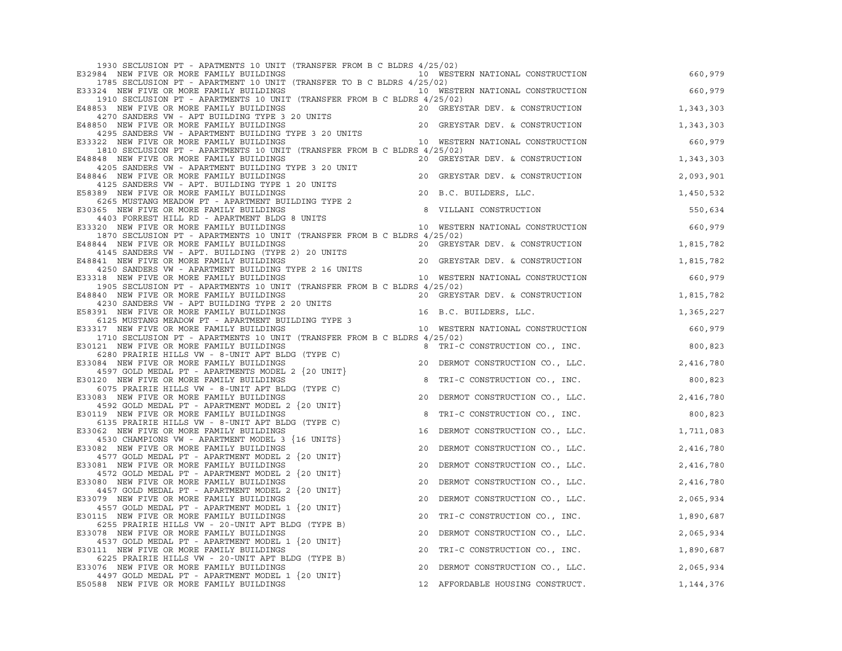| 1930 SECLUSION PT - APATMENTS 10 UNIT (TRANSFER FROM B C BLDRS 4/25/02)                                                                                                                                                                                               |    |                                                                    |             |
|-----------------------------------------------------------------------------------------------------------------------------------------------------------------------------------------------------------------------------------------------------------------------|----|--------------------------------------------------------------------|-------------|
| E32984 NEW FIVE OR MORE FAMILY BUILDINGS                                                                                                                                                                                                                              |    | 10 WESTERN NATIONAL CONSTRUCTION                                   | 660,979     |
| 1785 SECLUSION PT - APARTMENT 10 UNIT (TRANSFER TO B C BLDRS 4/25/02)                                                                                                                                                                                                 |    |                                                                    |             |
| E33324 NEW FIVE OR MORE FAMILY BUILDINGS<br>1910 SECLUSION PT - APARTMENTS 10 UNIT (TRANSFER FROM B C BLDRS 4/25/02)                                                                                                                                                  |    | 10 WESTERN NATIONAL CONSTRUCTION                                   | 660,979     |
| E48853 NEW FIVE OR MORE FAMILY BUILDINGS                                                                                                                                                                                                                              |    |                                                                    | 1,343,303   |
| 4270 SANDERS VW - APT BUILDING TYPE 3 20 UNITS                                                                                                                                                                                                                        |    | 20 GREYSTAR DEV. & CONSTRUCTION<br>20 GREYSTAR DEV. & CONSTRUCTION |             |
| E48850 NEW FIVE OR MORE FAMILY BUILDINGS                                                                                                                                                                                                                              |    | 20 GREYSTAR DEV. & CONSTRUCTION                                    | 1,343,303   |
| 4295 SANDERS VW - APARTMENT BUILDING TYPE 3 20 UNITS                                                                                                                                                                                                                  |    |                                                                    |             |
| E33322 NEW FIVE OR MORE FAMILY BUILDINGS<br>1810 SECLUSION PT - APARTMENTS 10 UNIT (TRANSFER FROM B C BLDRS 4/25/02)                                                                                                                                                  |    | 10 WESTERN NATIONAL CONSTRUCTION                                   | 660,979     |
| E48848 NEW FIVE OR MORE FAMILY BUILDINGS                                                                                                                                                                                                                              |    | 20 GREYSTAR DEV. & CONSTRUCTION                                    | 1,343,303   |
| 4205 SANDERS VW - APARTMENT BUILDING TYPE 3 20 UNIT                                                                                                                                                                                                                   |    |                                                                    |             |
| E48846 NEW FIVE OR MORE FAMILY BUILDINGS                                                                                                                                                                                                                              |    | 20 GREYSTAR DEV. & CONSTRUCTION                                    | 2,093,901   |
| 4125 SANDERS VW - APT. BUILDING TYPE 1 20 UNITS<br>E58389 NEW FIVE OR MORE FAMILY BUILDINGS<br>4125 SANDERS VW - AFI. 2012<br>189 NEW FIVE OR MORE FAMILY BUILDINGS<br>6265 MUSTANG MEADOW PT - APARTMENT BUILDING TYPE 2                                             |    | 20 B.C. BUILDERS, LLC.                                             | 1,450,532   |
|                                                                                                                                                                                                                                                                       |    |                                                                    |             |
| E30365 NEW FIVE OR MORE FAMILY BUILDINGS                                                                                                                                                                                                                              |    | 8 VILLANI CONSTRUCTION                                             | 550,634     |
| 4403 FORREST HILL RD - APARTMENT BLDG 8 UNITS                                                                                                                                                                                                                         |    |                                                                    |             |
| E33320 NEW FIVE OR MORE FAMILY BUILDINGS                                                                                                                                                                                                                              |    | 10 WESTERN NATIONAL CONSTRUCTION                                   | 660,979     |
| 1870 SECLUSION PT - APARTMENTS 10 UNIT (TRANSFER FROM B C BLDRS 4/25/02)<br>E48844 NEW FIVE OR MORE FAMILY BUILDINGS                                                                                                                                                  |    | 20 GREYSTAR DEV. & CONSTRUCTION                                    | 1,815,782   |
|                                                                                                                                                                                                                                                                       |    |                                                                    |             |
| 344 NEW FIVE OR MORE FAMILY BUILDINGS<br>4145 SANDERS VW - APT. BUILDING (TYPE 2) 20 UNITS<br>341 NEW FIVE OR MORE FAMILY BUILDINGS<br>4250 CANDERS VW ADAPTMENT BUILDING TYPE 2.16 UNITS 20 GREYSTAR DEV. & CONSTRUCTION<br>E48841 NEW FIVE OR MORE FAMILY BUILDINGS |    |                                                                    | 1,815,782   |
|                                                                                                                                                                                                                                                                       |    |                                                                    |             |
| A NEW FIVE OR MORE FAMILI DOLLARSE 2 16 UNITS<br>4250 SANDERS VW - APARTMENT BUILDING TYPE 2 16 UNITS<br>10 WESTERN NATIONAL CONSTRUCTION<br>E33318 NEW FIVE OR MORE FAMILY BUILDINGS<br>1905 SECLUSION PT - APARTMENTS 10 UNIT (TRANSFER FROM B C BLDRS 4/25/02)     |    |                                                                    | 660,979     |
| E48840 NEW FIVE OR MORE FAMILY BUILDINGS                                                                                                                                                                                                                              |    | 20 GREYSTAR DEV. & CONSTRUCTION                                    | 1,815,782   |
| 4230 SANDERS VW - APT BUILDING TYPE 2 20 UNITS                                                                                                                                                                                                                        |    |                                                                    |             |
| E58391 NEW FIVE OR MORE FAMILY BUILDINGS                                                                                                                                                                                                                              |    | 16 B.C. BUILDERS, LLC.                                             | 1,365,227   |
| 91 NEW FIVE OR MOKE FAMILLI DULDENSENT BUILDING TYPE 3<br>6125 MUSTANG MEADOW PT - APARTMENT BUILDING TYPE 3<br>10 WESTERN NATIONAL CONSTRUCTION<br>E33317 NEW FIVE OR MORE FAMILY BUILDINGS                                                                          |    |                                                                    |             |
| 1710 SECLUSION PT - APARTMENTS 10 UNIT (TRANSFER FROM B C BLDRS 4/25/02)                                                                                                                                                                                              |    |                                                                    | 660,979     |
| E30121 NEW FIVE OR MORE FAMILY BUILDINGS                                                                                                                                                                                                                              |    | 8 TRI-C CONSTRUCTION CO., INC.                                     | 800,823     |
| 6280 PRAIRIE HILLS VW - 8-UNIT APT BLDG (TYPE C)                                                                                                                                                                                                                      |    |                                                                    |             |
| E33084 NEW FIVE OR MORE FAMILY BUILDINGS                                                                                                                                                                                                                              |    | 20 DERMOT CONSTRUCTION CO., LLC.                                   | 2,416,780   |
| 4597 GOLD MEDAL PT - APARTMENTS MODEL 2 {20 UNIT}<br>E30120 NEW FIVE OR MORE FAMILY BUILDINGS                                                                                                                                                                         | 8  | TRI-C CONSTRUCTION CO., INC.                                       | 800,823     |
| 6075 PRAIRIE HILLS VW - 8-UNIT APT BLDG (TYPE C)                                                                                                                                                                                                                      |    |                                                                    |             |
| E33083 NEW FIVE OR MORE FAMILY BUILDINGS                                                                                                                                                                                                                              |    | 20 DERMOT CONSTRUCTION CO., LLC. 2,416,780                         |             |
| 4592 GOLD MEDAL PT - APARTMENT MODEL 2 $\{20 \text{ UNIT}\}\$                                                                                                                                                                                                         |    |                                                                    |             |
| E30119 NEW FIVE OR MORE FAMILY BUILDINGS<br>6135 PRAIRIE HILLS VW - 8-UNIT APT BLDG (TYPE C)                                                                                                                                                                          | 8  | TRI-C CONSTRUCTION CO., INC.                                       | 800,823     |
| E33062 NEW FIVE OR MORE FAMILY BUILDINGS                                                                                                                                                                                                                              | 16 | DERMOT CONSTRUCTION CO., LLC.                                      | 1,711,083   |
| 4530 CHAMPIONS VW - APARTMENT MODEL 3 {16 UNITS}                                                                                                                                                                                                                      |    |                                                                    |             |
| E33082 NEW FIVE OR MORE FAMILY BUILDINGS                                                                                                                                                                                                                              | 20 | DERMOT CONSTRUCTION CO., LLC.                                      | 2,416,780   |
| 4577 GOLD MEDAL PT - APARTMENT MODEL 2 {20 UNIT}<br>E33081 NEW FIVE OR MORE FAMILY BUILDINGS                                                                                                                                                                          | 20 | DERMOT CONSTRUCTION CO., LLC.                                      | 2,416,780   |
| 4572 GOLD MEDAL PT - APARTMENT MODEL 2 {20 UNIT}                                                                                                                                                                                                                      |    |                                                                    |             |
| E33080 NEW FIVE OR MORE FAMILY BUILDINGS                                                                                                                                                                                                                              | 20 | DERMOT CONSTRUCTION CO., LLC.                                      | 2,416,780   |
| 4457 GOLD MEDAL PT - APARTMENT MODEL 2 $\{20 \text{ UNIT}\}\$                                                                                                                                                                                                         |    |                                                                    |             |
| E33079 NEW FIVE OR MORE FAMILY BUILDINGS<br>4557 GOLD MEDAL PT - APARTMENT MODEL 1 $\{20 \text{ UNIT}\}\$                                                                                                                                                             | 20 | DERMOT CONSTRUCTION CO., LLC.                                      | 2,065,934   |
| E30115 NEW FIVE OR MORE FAMILY BUILDINGS                                                                                                                                                                                                                              | 20 | TRI-C CONSTRUCTION CO., INC.                                       | 1,890,687   |
| 6255 PRAIRIE HILLS VW - 20-UNIT APT BLDG (TYPE B)                                                                                                                                                                                                                     |    |                                                                    |             |
| E33078 NEW FIVE OR MORE FAMILY BUILDINGS                                                                                                                                                                                                                              | 20 | DERMOT CONSTRUCTION CO., LLC.                                      | 2,065,934   |
| 4537 GOLD MEDAL PT - APARTMENT MODEL 1 {20 UNIT}<br>E30111 NEW FIVE OR MORE FAMILY BUILDINGS                                                                                                                                                                          |    |                                                                    |             |
| 6225 PRAIRIE HILLS VW - 20-UNIT APT BLDG (TYPE B)                                                                                                                                                                                                                     | 20 | TRI-C CONSTRUCTION CO., INC.                                       | 1,890,687   |
| E33076 NEW FIVE OR MORE FAMILY BUILDINGS                                                                                                                                                                                                                              | 20 | DERMOT CONSTRUCTION CO., LLC.                                      | 2,065,934   |
| 4497 GOLD MEDAL PT - APARTMENT MODEL 1 $\{20 \text{ UNIT}\}$                                                                                                                                                                                                          |    |                                                                    |             |
| E50588 NEW FIVE OR MORE FAMILY BUILDINGS                                                                                                                                                                                                                              |    | 12 AFFORDABLE HOUSING CONSTRUCT.                                   | 1, 144, 376 |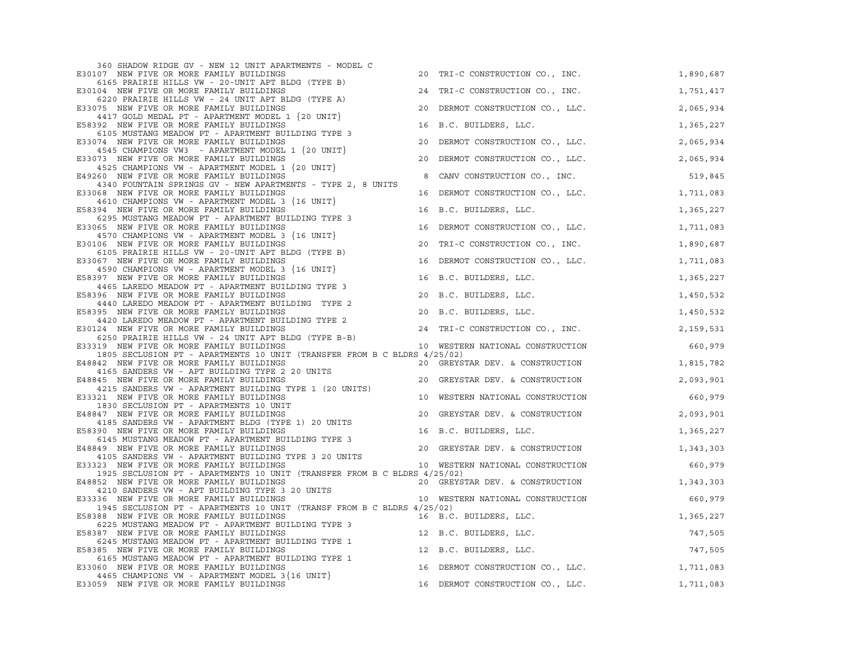| 360 SHADOW RIDGE GV - NEW 12 UNIT APARTMENTS - MODEL C                                                                                                                                                     |    |                                  |           |
|------------------------------------------------------------------------------------------------------------------------------------------------------------------------------------------------------------|----|----------------------------------|-----------|
| E30107 NEW FIVE OR MORE FAMILY BUILDINGS                                                                                                                                                                   |    | 20 TRI-C CONSTRUCTION CO., INC.  | 1,890,687 |
| 6165 PRAIRIE HILLS VW - 20-UNIT APT BLDG (TYPE B)<br>E30104 NEW FIVE OR MORE FAMILY BUILDINGS                                                                                                              |    | 24 TRI-C CONSTRUCTION CO., INC.  | 1,751,417 |
| 6220 PRAIRIE HILLS VW - 24 UNIT APT BLDG (TYPE A)<br>E33075 NEW FIVE OR MORE FAMILY BUILDINGS                                                                                                              | 20 | DERMOT CONSTRUCTION CO., LLC.    | 2,065,934 |
| 4417 GOLD MEDAL PT - APARTMENT MODEL 1 $\{20 \text{ UNIT}\}$                                                                                                                                               |    |                                  |           |
| E58392 NEW FIVE OR MORE FAMILY BUILDINGS<br>6105 MUSTANG MEADOW PT - APARTMENT BUILDING TYPE 3                                                                                                             | 16 | B.C. BUILDERS, LLC.              | 1,365,227 |
| E33074 NEW FIVE OR MORE FAMILY BUILDINGS<br>4545 CHAMPIONS VW3 - APARTMENT MODEL 1 {20 UNIT}                                                                                                               | 20 | DERMOT CONSTRUCTION CO., LLC.    | 2,065,934 |
| E33073 NEW FIVE OR MORE FAMILY BUILDINGS                                                                                                                                                                   |    | 20 DERMOT CONSTRUCTION CO., LLC. | 2,065,934 |
| 173 NEW FIVE OR MURD FOULD SOLD IN (20 UNIT)<br>4525 CHAMPIONS VW - APARTMENT MODEL 1 (20 UNIT)<br>E49260 NEW FIVE OR MORE FAMILY BUILDINGS                                                                | 8  | CANV CONSTRUCTION CO., INC.      | 519,845   |
| 4340 FOUNTAIN SPRINGS GV - NEW APARTMENTS - TYPE 2, 8 UNITS<br>E33068 NEW FIVE OR MORE FAMILY BUILDINGS                                                                                                    |    | 16 DERMOT CONSTRUCTION CO., LLC. | 1,711,083 |
| 4610 CHAMPIONS VW - APARTMENT MODEL 3 {16 UNIT}<br>E58394 NEW FIVE OR MORE FAMILY BUILDINGS                                                                                                                | 16 | B.C. BUILDERS, LLC.              |           |
| 6295 MUSTANG MEADOW PT - APARTMENT BUILDING TYPE 3                                                                                                                                                         |    |                                  | 1,365,227 |
| E33065 NEW FIVE OR MORE FAMILY BUILDINGS                                                                                                                                                                   |    | 16 DERMOT CONSTRUCTION CO., LLC. | 1,711,083 |
| 4570 CHAMPIONS VW - APARTMENT MODEL 3 {16 UNIT}                                                                                                                                                            |    |                                  |           |
| E30106 NEW FIVE OR MORE FAMILY BUILDINGS                                                                                                                                                                   |    | 20 TRI-C CONSTRUCTION CO., INC.  | 1,890,687 |
| 6105 PRAIRIE HILLS VW - 20-UNIT APT BLDG (TYPE B)<br>067 NEW FIVE OR MORE FAMILY BUILDINGS<br>4500 CULLIERS<br>E33067 NEW FIVE OR MORE FAMILY BUILDINGS<br>4590 CHAMPIONS VW - APARTMENT MODEL 3 {16 UNIT} |    | 16 DERMOT CONSTRUCTION CO., LLC. | 1,711,083 |
| E58397 NEW FIVE OR MORE FAMILY BUILDINGS                                                                                                                                                                   |    | 16 B.C. BUILDERS, LLC.           | 1,365,227 |
| 4465 LAREDO MEADOW PT - APARTMENT BUILDING TYPE 3<br>E58396 NEW FIVE OR MORE FAMILY BUILDINGS                                                                                                              |    | 20 B.C. BUILDERS, LLC.           | 1,450,532 |
| 4440 LAREDO MEADOW PT - APARTMENT BUILDING TYPE 2<br>E58395 NEW FIVE OR MORE FAMILY BUILDINGS                                                                                                              |    | 20 B.C. BUILDERS, LLC.           | 1,450,532 |
| 4420 LAREDO MEADOW PT - APARTMENT BUILDING TYPE 2                                                                                                                                                          |    |                                  |           |
| E30124 NEW FIVE OR MORE FAMILY BUILDINGS<br>6250 PRAIRIE HILLS VW - 24 UNIT APT BLDG (TYPE B-B)                                                                                                            |    | 24 TRI-C CONSTRUCTION CO., INC.  | 2,159,531 |
| E33319 NEW FIVE OR MORE FAMILY BUILDINGS                                                                                                                                                                   |    | 10 WESTERN NATIONAL CONSTRUCTION | 660,979   |
| 1805 SECLUSION PT - APARTMENTS 10 UNIT (TRANSFER FROM B C BLDRS 4/25/02)<br>E48842 NEW FIVE OR MORE FAMILY BUILDINGS                                                                                       |    | 20 GREYSTAR DEV. & CONSTRUCTION  | 1,815,782 |
| 4165 SANDERS VW - APT BUILDING TYPE 2 20 UNITS                                                                                                                                                             |    |                                  |           |
| E48845 NEW FIVE OR MORE FAMILY BUILDINGS                                                                                                                                                                   |    | 20 GREYSTAR DEV. & CONSTRUCTION  | 2,093,901 |
| 4215 SANDERS VW - APARTMENT BUILDING TYPE 1 (20 UNITS)<br>E33321 NEW FIVE OR MORE FAMILY BUILDINGS                                                                                                         |    | 10 WESTERN NATIONAL CONSTRUCTION | 660,979   |
| 1830 SECLUSION PT - APARTMENTS 10 UNIT                                                                                                                                                                     |    |                                  |           |
| E48847 NEW FIVE OR MORE FAMILY BUILDINGS<br>4185 SANDERS VW - APARTMENT BLDG (TYPE 1) 20 UNITS                                                                                                             |    | 20 GREYSTAR DEV. & CONSTRUCTION  | 2,093,901 |
| E58390 NEW FIVE OR MORE FAMILY BUILDINGS<br>6145 MUSTANG MEADOW PT - APARTMENT BUILDING TYPE 3                                                                                                             |    | 16 B.C. BUILDERS, LLC.           | 1,365,227 |
| E48849 NEW FIVE OR MORE FAMILY BUILDINGS                                                                                                                                                                   |    | 20 GREYSTAR DEV. & CONSTRUCTION  | 1,343,303 |
| 4105 SANDERS VW - APARTMENT BUILDING TYPE 3 20 UNITS                                                                                                                                                       |    |                                  |           |
| E33323 NEW FIVE OR MORE FAMILY BUILDINGS<br>1925 SECLUSION PT - APARTMENTS 10 UNIT (TRANSFER FROM B C BLDRS 4/25/02)                                                                                       |    | 10 WESTERN NATIONAL CONSTRUCTION | 660,979   |
| E48852 NEW FIVE OR MORE FAMILY BUILDINGS                                                                                                                                                                   |    | 20 GREYSTAR DEV. & CONSTRUCTION  | 1,343,303 |
| 152 NEW FIVE OR MORE FATILIL DOLLARSES<br>1210 SANDERS VW - APT BUILDING TYPE 3 20 UNITS<br>10 WESTERN NATIONAL CONSTRUCTION<br>E33336 NEW FIVE OR MORE FAMILY BUILDINGS                                   |    |                                  | 660,979   |
| 1945 SECLUSION PT - APARTMENTS 10 UNIT (TRANSF FROM B C BLDRS 4/25/02)<br>E58388 NEW FIVE OR MORE FAMILY BUILDINGS                                                                                         |    | 16 B.C. BUILDERS, LLC.           | 1,365,227 |
| 6225 MUSTANG MEADOW PT - APARTMENT BUILDING TYPE 3                                                                                                                                                         |    |                                  |           |
| E58387 NEW FIVE OR MORE FAMILY BUILDINGS                                                                                                                                                                   |    | 12 B.C. BUILDERS, LLC.           | 747,505   |
| 6245 MUSTANG MEADOW PT - APARTMENT BUILDING TYPE 1<br>E58385 NEW FIVE OR MORE FAMILY BUILDINGS                                                                                                             |    | 12 B.C. BUILDERS, LLC.           | 747,505   |
| 6165 MUSTANG MEADOW PT - APARTMENT BUILDING TYPE 1                                                                                                                                                         |    |                                  |           |
| E33060 NEW FIVE OR MORE FAMILY BUILDINGS<br>4465 CHAMPIONS VW - APARTMENT MODEL 3 {16 UNIT}                                                                                                                |    | 16 DERMOT CONSTRUCTION CO., LLC. | 1,711,083 |
| E33059 NEW FIVE OR MORE FAMILY BUILDINGS                                                                                                                                                                   |    | 16 DERMOT CONSTRUCTION CO., LLC. | 1,711,083 |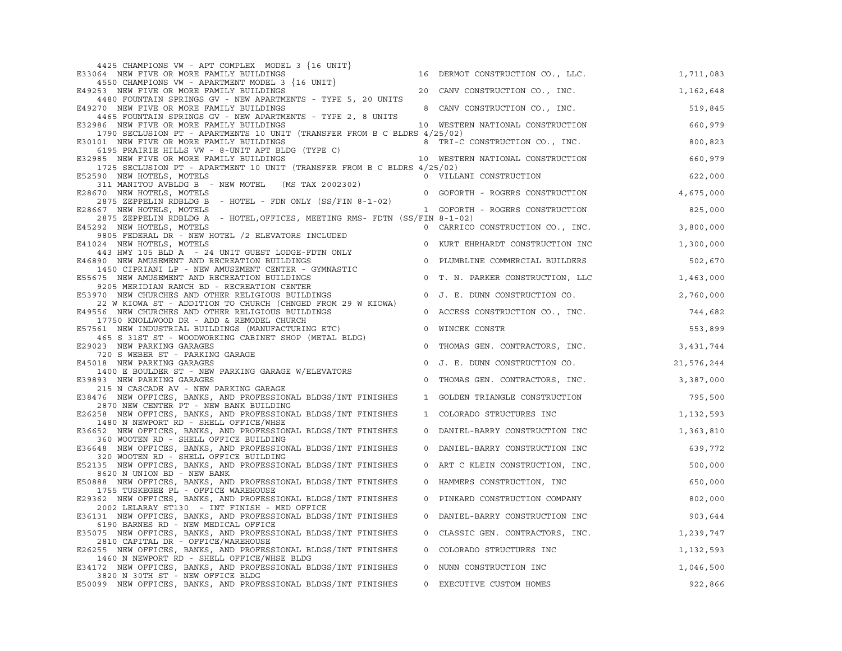| 4425 CHAMPIONS VW - APT COMPLEX MODEL 3 {16 UNIT}                                                                                                                                                                                        |                |                                  |            |
|------------------------------------------------------------------------------------------------------------------------------------------------------------------------------------------------------------------------------------------|----------------|----------------------------------|------------|
| E33064 NEW FIVE OR MORE FAMILY BUILDINGS                                                                                                                                                                                                 |                | 16 DERMOT CONSTRUCTION CO., LLC. | 1,711,083  |
| 4550 CHAMPIONS VW - APARTMENT MODEL 3 {16 UNIT}<br>E49253 NEW FIVE OR MORE FAMILY BUILDINGS                                                                                                                                              |                | 20 CANV CONSTRUCTION CO., INC.   | 1,162,648  |
| 4480 FOUNTAIN SPRINGS GV - NEW APARTMENTS - TYPE 5, 20 UNITS<br>E49270 NEW FIVE OR MORE FAMILY BUILDINGS                                                                                                                                 |                | 8 CANV CONSTRUCTION CO., INC.    | 519,845    |
| 4465 FOUNTAIN SPRINGS GV - NEW APARTMENTS - TYPE 2, 8 UNITS<br>E32986 NEW FIVE OR MORE FAMILY BUILDINGS                                                                                                                                  |                |                                  | 660,979    |
| 1790 SECLUSION PT - APARTMENTS 10 UNIT (TRANSFER FROM B C BLDRS 4/25/02)                                                                                                                                                                 |                | 10 WESTERN NATIONAL CONSTRUCTION |            |
| E30101 NEW FIVE OR MORE FAMILY BUILDINGS<br>101 NEW FIVE OR MORE FAMILY BUILDINGS<br>6195 PRAIRIE HILLS VW - 8-UNIT APT BLDG (TYPE C)<br>10 WESTERN NATIONAL CONSTRUCTION DES FAMILY BUILDINGS<br>10 WESTERN NATIONAL CONSTRUCTION       |                |                                  | 800,823    |
| E32985 NEW FIVE OR MORE FAMILY BUILDINGS                                                                                                                                                                                                 |                |                                  | 660,979    |
| 1725 SECLUSION PT - APARTMENT 10 UNIT (TRANSFER FROM B C BLDRS 4/25/02)<br>E52590 NEW HOTELS, MOTELS                                                                                                                                     |                | 0 VILLANI CONSTRUCTION           | 622,000    |
| 311 MANITOU AVBLDG B - NEW MOTEL (MS TAX 2002302)<br>E28670 NEW HOTELS, MOTELS                                                                                                                                                           |                | 0 GOFORTH - ROGERS CONSTRUCTION  | 4,675,000  |
| 2875 ZEPPELIN RDBLDG B - HOTEL - FDN ONLY (SS/FIN 8-1-02)                                                                                                                                                                                |                |                                  |            |
| E28667 NEW HOTELS, MOTELS                                                                                                                                                                                                                |                | 1 GOFORTH - ROGERS CONSTRUCTION  | 825,000    |
| 2875 ZEPPELIN RDBLDG A - HOTEL, OFFICES, MEETING RMS- FDTN (SS/FIN 8-1-02)<br>E45292 NEW HOTELS, MOTELS                                                                                                                                  |                |                                  | 3,800,000  |
| 292 NEW HOTELS, MOTELS<br>9805 FEDERAL DR - NEW HOTEL /2 ELEVATORS INCLUDED<br>024 NEW HOTELS, MOTELS<br>443 HWY 105 BLD A - 24 UNIT GUEST LODGE-FDTN ONLY<br>1450 CIPRIANT LD - NEW AMIGEMENT CENTER COMPANY CONSTRUCTION INC<br>1450 C |                |                                  |            |
| E41024 NEW HOTELS, MOTELS                                                                                                                                                                                                                |                | 0 KURT EHRHARDT CONSTRUCTION INC | 1,300,000  |
| E46890 NEW AMUSEMENT AND RECREATION BUILDINGS                                                                                                                                                                                            |                |                                  | 502,670    |
| 1450 CIPRIANI LP - NEW AMUSEMENT CENTER - GYMNASTIC<br>E55675 NEW AMUSEMENT AND RECREATION BUILDINGS                                                                                                                                     |                | 0 T. N. PARKER CONSTRUCTION, LLC | 1,463,000  |
| 9205 MERIDIAN RANCH BD - RECREATION CENTER<br>E53970 NEW CHURCHES AND OTHER RELIGIOUS BUILDINGS                                                                                                                                          |                | 0 J. E. DUNN CONSTRUCTION CO.    |            |
| 22 W KIOWA ST - ADDITION TO CHURCH (CHNGED FROM 29 W KIOWA)                                                                                                                                                                              |                |                                  | 2,760,000  |
| E49556 NEW CHURCHES AND OTHER RELIGIOUS BUILDINGS                                                                                                                                                                                        |                | 0 ACCESS CONSTRUCTION CO., INC.  | 744,682    |
| 17750 KNOLLWOOD DR - ADD & REMODEL CHURCH<br>E57561 NEW INDUSTRIAL BUILDINGS (MANUFACTURING ETC)                                                                                                                                         |                | 0 WINCEK CONSTR                  | 553,899    |
| 465 S 31ST ST - WOODWORKING CABINET SHOP (METAL BLDG)<br>E29023 NEW PARKING GARAGES                                                                                                                                                      | $\circ$        | THOMAS GEN. CONTRACTORS, INC.    | 3,431,744  |
| 720 S WEBER ST - PARKING GARAGE                                                                                                                                                                                                          |                |                                  |            |
| E45018 NEW PARKING GARAGES<br>1400 E BOULDER ST - NEW PARKING GARAGE W/ELEVATORS                                                                                                                                                         | $\circ$        | J. E. DUNN CONSTRUCTION CO.      | 21,576,244 |
| E39893 NEW PARKING GARAGES                                                                                                                                                                                                               |                | 0 THOMAS GEN. CONTRACTORS, INC.  | 3,387,000  |
| 215 N CASCADE AV - NEW PARKING GARAGE<br>E38476 NEW OFFICES, BANKS, AND PROFESSIONAL BLDGS/INT FINISHES                                                                                                                                  |                | 1 GOLDEN TRIANGLE CONSTRUCTION   | 795,500    |
| 2870 NEW CENTER PT - NEW BANK BUILDING<br>E26258 NEW OFFICES, BANKS, AND PROFESSIONAL BLDGS/INT FINISHES                                                                                                                                 |                | 1 COLORADO STRUCTURES INC        | 1,132,593  |
| 1480 N NEWPORT RD - SHELL OFFICE/WHSE                                                                                                                                                                                                    |                |                                  |            |
| E36652 NEW OFFICES, BANKS, AND PROFESSIONAL BLDGS/INT FINISHES<br>360 WOOTEN RD - SHELL OFFICE BUILDING                                                                                                                                  |                | 0 DANIEL-BARRY CONSTRUCTION INC  | 1,363,810  |
| E36648 NEW OFFICES, BANKS, AND PROFESSIONAL BLDGS/INT FINISHES                                                                                                                                                                           | $\circ$        | DANIEL-BARRY CONSTRUCTION INC    | 639,772    |
| 320 WOOTEN RD - SHELL OFFICE BUILDING<br>E52135 NEW OFFICES, BANKS, AND PROFESSIONAL BLDGS/INT FINISHES                                                                                                                                  |                | 0 ART C KLEIN CONSTRUCTION, INC. | 500,000    |
| 8620 N UNION BD - NEW BANK<br>E50888 NEW OFFICES, BANKS, AND PROFESSIONAL BLDGS/INT FINISHES                                                                                                                                             |                | 0 HAMMERS CONSTRUCTION, INC      | 650,000    |
| 1755 TUSKEGEE PL - OFFICE WAREHOUSE                                                                                                                                                                                                      |                |                                  |            |
| E29362 NEW OFFICES, BANKS, AND PROFESSIONAL BLDGS/INT FINISHES<br>2002 LELARAY ST130 - INT FINISH - MED OFFICE                                                                                                                           | $\circ$        | PINKARD CONSTRUCTION COMPANY     | 802,000    |
| E36131 NEW OFFICES, BANKS, AND PROFESSIONAL BLDGS/INT FINISHES                                                                                                                                                                           | $\mathbf 0$    | DANIEL-BARRY CONSTRUCTION INC    | 903,644    |
| 6190 BARNES RD - NEW MEDICAL OFFICE<br>E35075 NEW OFFICES, BANKS, AND PROFESSIONAL BLDGS/INT FINISHES                                                                                                                                    | $\circ$        | CLASSIC GEN. CONTRACTORS, INC.   | 1,239,747  |
| 2810 CAPITAL DR - OFFICE/WAREHOUSE                                                                                                                                                                                                       |                |                                  |            |
| E26255 NEW OFFICES, BANKS, AND PROFESSIONAL BLDGS/INT FINISHES<br>1460 N NEWPORT RD - SHELL OFFICE/WHSE BLDG                                                                                                                             | $\overline{0}$ | COLORADO STRUCTURES INC          | 1,132,593  |
| E34172 NEW OFFICES, BANKS, AND PROFESSIONAL BLDGS/INT FINISHES<br>3820 N 30TH ST - NEW OFFICE BLDG                                                                                                                                       |                | 0 NUNN CONSTRUCTION INC          | 1,046,500  |
| E50099 NEW OFFICES, BANKS, AND PROFESSIONAL BLDGS/INT FINISHES                                                                                                                                                                           | 0              | EXECUTIVE CUSTOM HOMES           | 922,866    |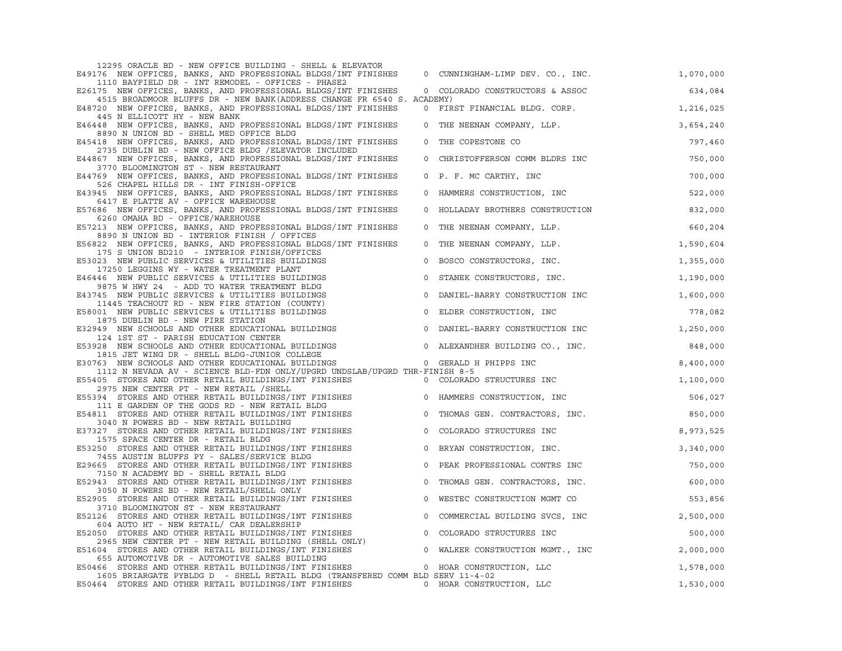| 12295 ORACLE BD - NEW OFFICE BUILDING - SHELL & ELEVATOR                                                                                                                                                                                     |             |                                  |           |
|----------------------------------------------------------------------------------------------------------------------------------------------------------------------------------------------------------------------------------------------|-------------|----------------------------------|-----------|
| E49176 NEW OFFICES, BANKS, AND PROFESSIONAL BLDGS/INT FINISHES                                                                                                                                                                               |             | 0 CUNNINGHAM-LIMP DEV. CO., INC. | 1,070,000 |
| 1110 BAYFIELD DR - INT REMODEL - OFFICES - PHASE2<br>E26175 NEW OFFICES, BANKS, AND PROFESSIONAL BLDGS/INT FINISHES                                                                                                                          |             | 0 COLORADO CONSTRUCTORS & ASSOC  | 634,084   |
| 4515 BROADMOOR BLUFFS DR - NEW BANK (ADDRESS CHANGE FR 6540 S. ACADEMY)<br>E48720 NEW OFFICES, BANKS, AND PROFESSIONAL BLDGS/INT FINISHES                                                                                                    |             | 0 FIRST FINANCIAL BLDG. CORP.    | 1,216,025 |
| 445 N ELLICOTT HY - NEW BANK                                                                                                                                                                                                                 |             |                                  |           |
| E46448 NEW OFFICES, BANKS, AND PROFESSIONAL BLDGS/INT FINISHES<br>8890 N UNION BD - SHELL MED OFFICE BLDG                                                                                                                                    | $\circ$     | THE NEENAN COMPANY, LLP.         | 3,654,240 |
| E45418 NEW OFFICES, BANKS, AND PROFESSIONAL BLDGS/INT FINISHES<br>2735 DUBLIN BD - NEW OFFICE BLDG / ELEVATOR INCLUDED                                                                                                                       | $\mathbf 0$ | THE COPESTONE CO                 | 797,460   |
| E44867 NEW OFFICES, BANKS, AND PROFESSIONAL BLDGS/INT FINISHES<br>3770 BLOOMINGTON ST - NEW RESTAURANT                                                                                                                                       | $\circ$     | CHRISTOFFERSON COMM BLDRS INC    | 750,000   |
| E44769 NEW OFFICES, BANKS, AND PROFESSIONAL BLDGS/INT FINISHES<br>526 CHAPEL HILLS DR - INT FINISH-OFFICE                                                                                                                                    |             | 0 P. F. MC CARTHY, INC           | 700,000   |
| E43945 NEW OFFICES, BANKS, AND PROFESSIONAL BLDGS/INT FINISHES                                                                                                                                                                               |             | 0 HAMMERS CONSTRUCTION, INC      | 522,000   |
| 6417 E PLATTE AV - OFFICE WAREHOUSE<br>E57686 NEW OFFICES, BANKS, AND PROFESSIONAL BLDGS/INT FINISHES                                                                                                                                        | $\circ$     | HOLLADAY BROTHERS CONSTRUCTION   | 832,000   |
| 6260 OMAHA BD - OFFICE/WAREHOUSE                                                                                                                                                                                                             |             |                                  |           |
| E57213 NEW OFFICES, BANKS, AND PROFESSIONAL BLDGS/INT FINISHES<br>8890 N UNION BD - INTERIOR FINISH / OFFICES                                                                                                                                | $\circ$     | THE NEENAN COMPANY, LLP.         | 660, 204  |
| E56822 NEW OFFICES, BANKS, AND PROFESSIONAL BLDGS/INT FINISHES<br>175 S UNION BD210 - INTERIOR FINISH/OFFICES                                                                                                                                | $\mathbf 0$ | THE NEENAN COMPANY, LLP.         | 1,590,604 |
| E53023 NEW PUBLIC SERVICES & UTILITIES BUILDINGS<br>17250 LEGGINS WY - WATER TREATMENT PLANT                                                                                                                                                 | $\mathbf 0$ | BOSCO CONSTRUCTORS, INC.         | 1,355,000 |
| E46446 NEW PUBLIC SERVICES & UTILITIES BUILDINGS<br>9875 W HWY 24 - ADD TO WATER TREATMENT BLDG                                                                                                                                              | $\mathbf 0$ | STANEK CONSTRUCTORS, INC.        | 1,190,000 |
| E43745 NEW PUBLIC SERVICES & UTILITIES BUILDINGS                                                                                                                                                                                             | $\circ$     | DANIEL-BARRY CONSTRUCTION INC    | 1,600,000 |
| 11445 TEACHOUT RD - NEW FIRE STATION (COUNTY)<br>E58001 NEW PUBLIC SERVICES & UTILITIES BUILDINGS                                                                                                                                            |             | 0 ELDER CONSTRUCTION, INC        | 778,082   |
| 1875 DUBLIN BD - NEW FIRE STATION<br>E32949 NEW SCHOOLS AND OTHER EDUCATIONAL BUILDINGS                                                                                                                                                      |             | 0 DANIEL-BARRY CONSTRUCTION INC  | 1,250,000 |
| 124 1ST ST - PARISH EDUCATION CENTER<br>ES3928 NEW SCHOOLS AND OTHER EDUCATIONAL BUILDINGS O ALEXANDHER BUILDING<br>1815 JET WING DR - SHELL BLDG-JUNIOR COLLEGE<br>E30763 NEW SCHOOLS AND OTHER EDUCATIONAL BUILDINGS O GERALD H PHIPPS INC |             | 0 ALEXANDHER BUILDING CO., INC.  | 848,000   |
|                                                                                                                                                                                                                                              |             |                                  | 8,400,000 |
| 1112 N NEVADA AV - SCIENCE BLD-FDN ONLY/UPGRD UNDSLAB/UPGRD THR-FINISH 8-5                                                                                                                                                                   |             |                                  |           |
| E55405 STORES AND OTHER RETAIL BUILDINGS/INT FINISHES 0 COLORADO STRUCTURES INC 1,100,000<br>2975 NEW CENTER PT - NEW RETAIL /SHELL                                                                                                          |             |                                  |           |
| E55394 STORES AND OTHER RETAIL BUILDINGS/INT FINISHES<br>111 E GARDEN OF THE GODS RD - NEW RETAIL BLDG                                                                                                                                       |             |                                  | 506,027   |
| E54811 STORES AND OTHER RETAIL BUILDINGS/INT FINISHES<br>3040 N POWERS BD - NEW RETAIL BUILDING                                                                                                                                              |             | 0 THOMAS GEN. CONTRACTORS, INC.  | 850,000   |
| E37327 STORES AND OTHER RETAIL BUILDINGS/INT FINISHES<br>1575 SPACE CENTER DR - RETAIL BLDG                                                                                                                                                  | $\circ$     | COLORADO STRUCTURES INC          | 8,973,525 |
| E53250 STORES AND OTHER RETAIL BUILDINGS/INT FINISHES                                                                                                                                                                                        | $\circ$     | BRYAN CONSTRUCTION, INC.         | 3,340,000 |
| 7455 AUSTIN BLUFFS PY - SALES/SERVICE BLDG<br>E29665 STORES AND OTHER RETAIL BUILDINGS/INT FINISHES                                                                                                                                          | $\mathbb O$ | PEAK PROFESSIONAL CONTRS INC     | 750,000   |
| 7150 N ACADEMY BD - SHELL RETAIL BLDG<br>E52943 STORES AND OTHER RETAIL BUILDINGS/INT FINISHES                                                                                                                                               | $\circ$     | THOMAS GEN. CONTRACTORS, INC.    | 600,000   |
| 3050 N POWERS BD - NEW RETAIL/SHELL ONLY<br>E52905 STORES AND OTHER RETAIL BUILDINGS/INT FINISHES                                                                                                                                            | $\circ$     | WESTEC CONSTRUCTION MGMT CO      | 553,856   |
| 3710 BLOOMINGTON ST - NEW RESTAURANT                                                                                                                                                                                                         |             |                                  |           |
| E52126 STORES AND OTHER RETAIL BUILDINGS/INT FINISHES<br>604 AUTO HT - NEW RETAIL/ CAR DEALERSHIP                                                                                                                                            | $\circ$     | COMMERCIAL BUILDING SVCS, INC    | 2,500,000 |
| E52050 STORES AND OTHER RETAIL BUILDINGS/INT FINISHES<br>2965 NEW CENTER PT - NEW RETAIL BUILDING (SHELL ONLY)                                                                                                                               | $\circ$     | COLORADO STRUCTURES INC          | 500,000   |
| E51604 STORES AND OTHER RETAIL BUILDINGS/INT FINISHES                                                                                                                                                                                        |             | 0 WALKER CONSTRUCTION MGMT., INC | 2,000,000 |
| 655 AUTOMOTIVE DR - AUTOMOTIVE SALES BUILDING<br>E50466 STORES AND OTHER RETAIL BUILDINGS/INT FINISHES                                                                                                                                       |             | 0 HOAR CONSTRUCTION, LLC         | 1,578,000 |
| 1605 BRIARGATE PYBLDG D - SHELL RETAIL BLDG (TRANSFERED COMM BLD SERV 11-4-02                                                                                                                                                                |             |                                  |           |
| E50464 STORES AND OTHER RETAIL BUILDINGS/INT FINISHES                                                                                                                                                                                        |             | 0 HOAR CONSTRUCTION, LLC         | 1,530,000 |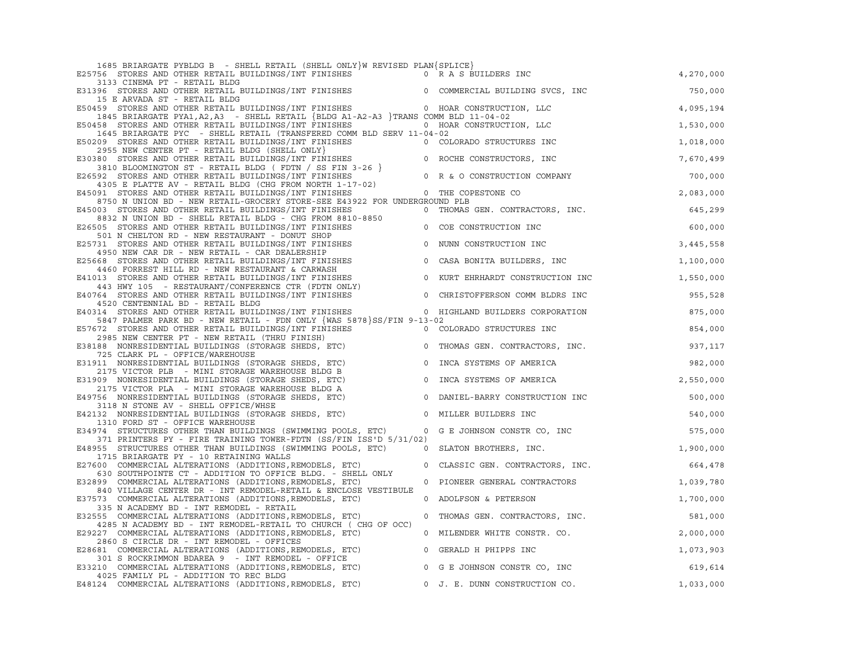| 1685 BRIARGATE PYBLDG B - SHELL RETAIL (SHELL ONLY)W REVISED PLAN(SPLICE)                                                                                                                                                  |         |                                  |           |
|----------------------------------------------------------------------------------------------------------------------------------------------------------------------------------------------------------------------------|---------|----------------------------------|-----------|
| E25756 STORES AND OTHER RETAIL BUILDINGS/INT FINISHES 6 0 R A S BUILDERS INC<br>3133 CINEMA PT - RETAIL BLDG                                                                                                               |         |                                  | 4,270,000 |
| E31396 STORES AND OTHER RETAIL BUILDINGS/INT FINISHES 0 COMMERCIAL BUILDING SVCS, INC<br>15 E ARVADA ST - RETAIL BLDG                                                                                                      |         |                                  | 750,000   |
| E50459 STORES AND OTHER RETAIL BUILDINGS/INT FINISHES 0 HOAR CONSTRUCTION, LLC                                                                                                                                             |         |                                  | 4,095,194 |
| 1845 BRIARGATE PYA1, A2, A3 - SHELL RETAIL {BLDG A1-A2-A3 }TRANS COMM BLD 11-04-02                                                                                                                                         |         |                                  |           |
| E50458 STORES AND OTHER RETAIL BUILDINGS/INT FINISHES 0 HOAR CONSTRUCTION, LLC                                                                                                                                             |         |                                  | 1,530,000 |
| 1645 BRIARGATE PYC - SHELL RETAIL (TRANSFERED COMM BLD SERV 11-04-02                                                                                                                                                       |         |                                  |           |
| E50209 STORES AND OTHER RETAIL BUILDINGS/INT FINISHES                                                                                                                                                                      |         | 0 COLORADO STRUCTURES INC        | 1,018,000 |
| 2955 NEW CENTER PT - RETAIL BLDG (SHELL ONLY)                                                                                                                                                                              |         |                                  |           |
| E30380 STORES AND OTHER RETAIL BUILDINGS/INT FINISHES                                                                                                                                                                      |         |                                  | 7,670,499 |
|                                                                                                                                                                                                                            |         |                                  |           |
| E26592 STORES AND OTHER RETAIL BUILDINGS/INT FINISHES                                                                                                                                                                      |         |                                  | 700,000   |
| 4305 E PLATTE AV - RETAIL BLDG (CHG FROM NORTH 1-17-02)                                                                                                                                                                    |         |                                  |           |
| E45091 STORES AND OTHER RETAIL BUILDINGS/INT FINISHES                                                                                                                                                                      |         | $0$ THE COPESTONE CO.            | 2,083,000 |
| 8750 N UNION BD - NEW RETAIL-GROCERY STORE-SEE E43922 FOR UNDERGROUND PLB                                                                                                                                                  |         |                                  |           |
| E45003 STORES AND OTHER RETAIL BUILDINGS/INT FINISHES 0 THOMAS GEN. CONTRACTORS, INC.                                                                                                                                      |         |                                  | 645,299   |
| 8832 N UNION BD - SHELL RETAIL BLDG - CHG FROM 8810-8850                                                                                                                                                                   |         |                                  |           |
| E26505 STORES AND OTHER RETAIL BUILDINGS/INT FINISHES                                                                                                                                                                      |         | 0 COE CONSTRUCTION INC           | 600,000   |
| 501 N CHELTON RD - NEW RESTAURANT - DONUT SHOP                                                                                                                                                                             |         |                                  |           |
| E25731 STORES AND OTHER RETAIL BUILDINGS/INT FINISHES                                                                                                                                                                      |         | 0 NUNN CONSTRUCTION INC          | 3,445,558 |
| 4950 NEW CAR DR - NEW RETAIL - CAR DEALERSHIP                                                                                                                                                                              |         |                                  |           |
| E25668 STORES AND OTHER RETAIL BUILDINGS/INT FINISHES                                                                                                                                                                      |         | 0 CASA BONITA BUILDERS, INC      | 1,100,000 |
| 4460 FORREST HILL RD - NEW RESTAURANT & CARWASH                                                                                                                                                                            |         |                                  |           |
| THE STORES AND OTHER RETAIL BUILDINGS/INT FINISHES<br>443 HWY 105 - RESTAURANT/CONFERENCE CTR (FDTN ONLY)<br>764 STORES AND OTHER RETAIL BUILDINGS/INT FINISHES 0<br>E41013 STORES AND OTHER RETAIL BUILDINGS/INT FINISHES |         | 0 KURT EHRHARDT CONSTRUCTION INC | 1,550,000 |
|                                                                                                                                                                                                                            |         |                                  |           |
| E40764 STORES AND OTHER RETAIL BUILDINGS/INT FINISHES                                                                                                                                                                      |         | CHRISTOFFERSON COMM BLDRS INC    | 955,528   |
| 4520 CENTENNIAL BD - RETAIL BLDG                                                                                                                                                                                           |         |                                  |           |
| E40314 STORES AND OTHER RETAIL BUILDINGS/INT FINISHES 00 HIGHLAND BUILDERS CORPORATION                                                                                                                                     |         |                                  | 875,000   |
| 5847 PALMER PARK BD - NEW RETAIL - FDN ONLY {WAS 5878}SS/FIN 9-13-02                                                                                                                                                       |         |                                  |           |
| E57672 STORES AND OTHER RETAIL BUILDINGS/INT FINISHES 700 COLORADO STRUCTURES INC                                                                                                                                          |         |                                  | 854,000   |
| 2985 NEW CENTER PT - NEW RETAIL (THRU FINISH)                                                                                                                                                                              |         |                                  |           |
| E38188 NONRESIDENTIAL BUILDINGS (STORAGE SHEDS, ETC)                                                                                                                                                                       |         | 0 THOMAS GEN. CONTRACTORS, INC.  | 937,117   |
| 725 CLARK PL - OFFICE/WAREHOUSE                                                                                                                                                                                            |         |                                  |           |
| E31911 NONRESIDENTIAL BUILDINGS (STORAGE SHEDS, ETC)                                                                                                                                                                       |         | 0 INCA SYSTEMS OF AMERICA        | 982,000   |
| 2175 VICTOR PLB - MINI STORAGE WAREHOUSE BLDG B                                                                                                                                                                            |         |                                  |           |
| E31909 NONRESIDENTIAL BUILDINGS (STORAGE SHEDS, ETC)                                                                                                                                                                       |         | 0 INCA SYSTEMS OF AMERICA        | 2,550,000 |
| 2175 VICTOR PLA - MINI STORAGE WAREHOUSE BLDG A                                                                                                                                                                            |         |                                  |           |
| E49756 NONRESIDENTIAL BUILDINGS (STORAGE SHEDS, ETC)                                                                                                                                                                       |         | 0 DANIEL-BARRY CONSTRUCTION INC  | 500,000   |
| 3118 N STONE AV - SHELL OFFICE/WHSE                                                                                                                                                                                        |         |                                  |           |
| E42132 NONRESIDENTIAL BUILDINGS (STORAGE SHEDS, ETC)                                                                                                                                                                       | $\circ$ | MILLER BUILDERS INC              | 540,000   |
| 1310 FORD ST - OFFICE WAREHOUSE                                                                                                                                                                                            |         |                                  |           |
| E34974 STRUCTURES OTHER THAN BUILDINGS (SWIMMING POOLS, ETC)                                                                                                                                                               |         | 0 G E JOHNSON CONSTR CO, INC     | 575,000   |
| 371 PRINTERS PY - FIRE TRAINING TOWER-FDTN (SS/FIN ISS'D 5/31/02)                                                                                                                                                          |         |                                  |           |
| E48955 STRUCTURES OTHER THAN BUILDINGS (SWIMMING POOLS, ETC) 0 SLATON BROTHERS, INC.                                                                                                                                       |         |                                  | 1,900,000 |
| 1715 BRIARGATE PY - 10 RETAINING WALLS                                                                                                                                                                                     |         |                                  |           |
| E27600 COMMERCIAL ALTERATIONS (ADDITIONS, REMODELS, ETC)                                                                                                                                                                   |         | 0 CLASSIC GEN. CONTRACTORS, INC. | 664,478   |
| 630 SOUTHPOINTE CT - ADDITION TO OFFICE BLDG. - SHELL ONLY                                                                                                                                                                 |         |                                  |           |
| E32899 COMMERCIAL ALTERATIONS (ADDITIONS, REMODELS, ETC)                                                                                                                                                                   |         | 0 PIONEER GENERAL CONTRACTORS    | 1,039,780 |
| 840 VILLAGE CENTER DR - INT REMODEL-RETAIL & ENCLOSE VESTIBULE                                                                                                                                                             |         |                                  |           |
| E37573 COMMERCIAL ALTERATIONS (ADDITIONS, REMODELS, ETC)                                                                                                                                                                   |         | 0 ADOLFSON & PETERSON            | 1,700,000 |
| 335 N ACADEMY BD - INT REMODEL - RETAIL                                                                                                                                                                                    |         |                                  |           |
| E32555 COMMERCIAL ALTERATIONS (ADDITIONS, REMODELS, ETC)                                                                                                                                                                   |         | 0 THOMAS GEN. CONTRACTORS, INC.  | 581,000   |
| 4285 N ACADEMY BD - INT REMODEL-RETAIL TO CHURCH ( CHG OF OCC)                                                                                                                                                             |         |                                  |           |
| E29227 COMMERCIAL ALTERATIONS (ADDITIONS, REMODELS, ETC)                                                                                                                                                                   |         | 0 MILENDER WHITE CONSTR. CO.     | 2,000,000 |
| 2860 S CIRCLE DR - INT REMODEL - OFFICES                                                                                                                                                                                   |         |                                  |           |
| E28681 COMMERCIAL ALTERATIONS (ADDITIONS, REMODELS, ETC)                                                                                                                                                                   |         | 0 GERALD H PHIPPS INC            | 1,073,903 |
| 301 S ROCKRIMMON BDAREA 9 - INT REMODEL - OFFICE                                                                                                                                                                           |         |                                  |           |
| E33210 COMMERCIAL ALTERATIONS (ADDITIONS, REMODELS, ETC)                                                                                                                                                                   |         | 0 G E JOHNSON CONSTR CO, INC     | 619,614   |
| 4025 FAMILY PL - ADDITION TO REC BLDG                                                                                                                                                                                      |         |                                  |           |
| E48124 COMMERCIAL ALTERATIONS (ADDITIONS, REMODELS, ETC)                                                                                                                                                                   |         | 0 J. E. DUNN CONSTRUCTION CO.    | 1,033,000 |